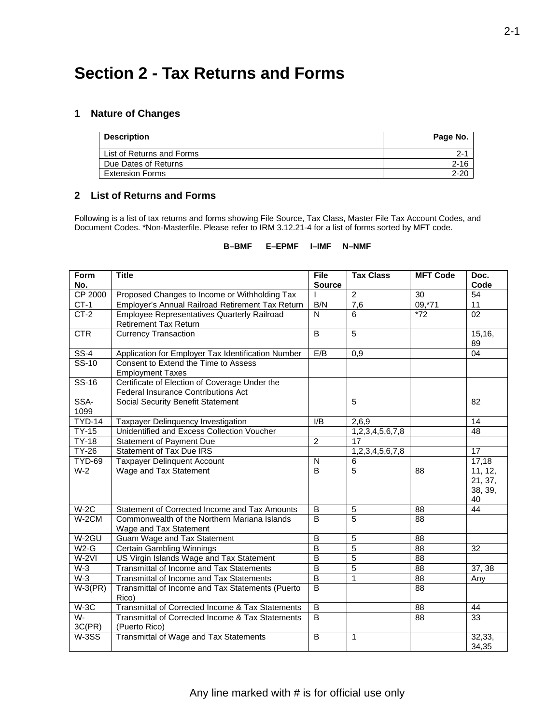# **Section 2 - Tax Returns and Forms**

### **1 Nature of Changes**

| <b>Description</b>        | Page No. |
|---------------------------|----------|
| List of Returns and Forms | 2-1      |
| Due Dates of Returns      | $2 - 16$ |
| <b>Extension Forms</b>    | $2 - 20$ |

## **2 List of Returns and Forms**

Following is a list of tax returns and forms showing File Source, Tax Class, Master File Tax Account Codes, and Document Codes. \*Non-Masterfile. Please refer to IRM 3.12.21-4 for a list of forms sorted by MFT code.

#### **B–BMF E–EPMF I–IMF N–NMF**

| Form                      | <b>Title</b>                                                                                | <b>File</b>             | <b>Tax Class</b> | <b>MFT Code</b> | Doc.            |
|---------------------------|---------------------------------------------------------------------------------------------|-------------------------|------------------|-----------------|-----------------|
| No.                       |                                                                                             | <b>Source</b>           |                  |                 | Code            |
| <b>CP 2000</b>            | Proposed Changes to Income or Withholding Tax                                               |                         | $\overline{2}$   | 30              | 54              |
| $CT-1$                    | Employer's Annual Railroad Retirement Tax Return                                            | B/N                     | 7,6              | 09,71           | $\overline{11}$ |
| $CT-2$                    | <b>Employee Representatives Quarterly Railroad</b>                                          | N                       | 6                | $*72$           | 02              |
|                           | Retirement Tax Return                                                                       |                         |                  |                 |                 |
| <b>CTR</b>                | <b>Currency Transaction</b>                                                                 | B                       | 5                |                 | 15, 16,<br>89   |
| $SS-4$                    | Application for Employer Tax Identification Number                                          | E/B                     | 0,9              |                 | 04              |
| $\overline{\text{SS-10}}$ | Consent to Extend the Time to Assess                                                        |                         |                  |                 |                 |
|                           | <b>Employment Taxes</b>                                                                     |                         |                  |                 |                 |
| $SS-16$                   | Certificate of Election of Coverage Under the<br><b>Federal Insurance Contributions Act</b> |                         |                  |                 |                 |
| SSA-                      | Social Security Benefit Statement                                                           |                         | 5                |                 | 82              |
| 1099                      |                                                                                             |                         |                  |                 |                 |
| <b>TYD-14</b>             | Taxpayer Delinquency Investigation                                                          | I/B                     | 2,6,9            |                 | 14              |
| $TY-15$                   | Unidentified and Excess Collection Voucher                                                  |                         | 1,2,3,4,5,6,7,8  |                 | $\overline{48}$ |
| $TY-18$                   | Statement of Payment Due                                                                    | $\overline{2}$          | 17               |                 |                 |
| <b>TY-26</b>              | <b>Statement of Tax Due IRS</b>                                                             |                         | 1,2,3,4,5,6,7,8  |                 | 17              |
| <b>TYD-69</b>             | <b>Taxpayer Delinquent Account</b>                                                          | $\mathsf{N}$            | 6                |                 | 17,18           |
| $W-2$                     | Wage and Tax Statement                                                                      | $\overline{B}$          | $\overline{5}$   | 88              | 11, 12,         |
|                           |                                                                                             |                         |                  |                 | 21, 37,         |
|                           |                                                                                             |                         |                  |                 | 38, 39,         |
|                           |                                                                                             |                         |                  |                 | 40              |
| $W-2C$                    | Statement of Corrected Income and Tax Amounts                                               | $\, {\bf B}$            | 5                | 88              | 44              |
| $W-2CM$                   | Commonwealth of the Northern Mariana Islands                                                | B                       | 5                | 88              |                 |
|                           | Wage and Tax Statement                                                                      |                         |                  |                 |                 |
| W-2GU                     | Guam Wage and Tax Statement                                                                 | $\overline{B}$          | $\overline{5}$   | $\overline{88}$ |                 |
| $W2-G$                    | <b>Certain Gambling Winnings</b>                                                            | $\overline{\mathsf{B}}$ | 5                | 88              | 32              |
| $W-2VI$                   | US Virgin Islands Wage and Tax Statement                                                    | $\overline{B}$          | 5                | 88              |                 |
| $W-3$                     | <b>Transmittal of Income and Tax Statements</b>                                             | $\overline{\mathsf{B}}$ | 5                | 88              | 37, 38          |
| $W-3$                     | Transmittal of Income and Tax Statements                                                    | $\overline{B}$          | 1                | 88              | Any             |
| $W-3(PR)$                 | Transmittal of Income and Tax Statements (Puerto                                            | $\overline{B}$          |                  | 88              |                 |
|                           | Rico)                                                                                       |                         |                  |                 |                 |
| $W-3C$                    | Transmittal of Corrected Income & Tax Statements                                            | $\overline{B}$          |                  | 88              | 44              |
| W-                        | Transmittal of Corrected Income & Tax Statements                                            | $\overline{B}$          |                  | 88              | 33              |
| 3C(PR)                    | (Puerto Rico)                                                                               |                         |                  |                 |                 |
| W-3SS                     | Transmittal of Wage and Tax Statements                                                      | $\overline{B}$          | $\mathbf{1}$     |                 | 32,33,          |
|                           |                                                                                             |                         |                  |                 | 34,35           |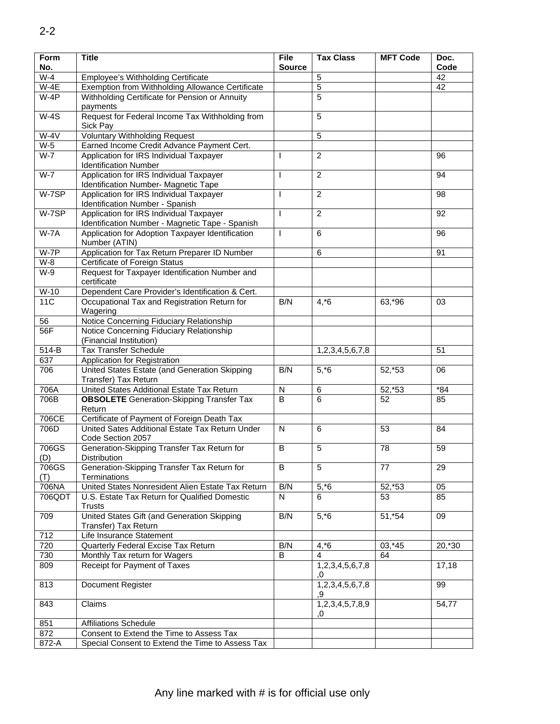| Form<br>No.     | <b>Title</b>                                                                               | <b>File</b><br><b>Source</b> | <b>Tax Class</b>      | <b>MFT Code</b> | Doc.<br>Code |
|-----------------|--------------------------------------------------------------------------------------------|------------------------------|-----------------------|-----------------|--------------|
| $W-4$           | Employee's Withholding Certificate                                                         |                              | 5                     |                 | 42           |
| $W-4E$          | Exemption from Withholding Allowance Certificate                                           |                              | $\overline{5}$        |                 | 42           |
| $W-4P$          | Withholding Certificate for Pension or Annuity                                             |                              | 5                     |                 |              |
|                 | payments                                                                                   |                              |                       |                 |              |
| $W-4S$          | Request for Federal Income Tax Withholding from<br>Sick Pay                                |                              | $\sqrt{5}$            |                 |              |
| $W-4V$          | <b>Voluntary Withholding Request</b>                                                       |                              | 5                     |                 |              |
| $W-5$           | Earned Income Credit Advance Payment Cert.                                                 |                              |                       |                 |              |
| $W-7$           | Application for IRS Individual Taxpayer<br><b>Identification Number</b>                    | T                            | $\overline{2}$        |                 | 96           |
| $W-7$           | Application for IRS Individual Taxpayer<br>Identification Number- Magnetic Tape            | $\mathsf{I}$                 | $\overline{2}$        |                 | 94           |
| W-7SP           | Application for IRS Individual Taxpayer<br>Identification Number - Spanish                 | $\mathsf{I}$                 | $\overline{2}$        |                 | 98           |
| W-7SP           | Application for IRS Individual Taxpayer<br>Identification Number - Magnetic Tape - Spanish | $\mathbf{I}$                 | $\overline{2}$        |                 | 92           |
| $W-7A$          | Application for Adoption Taxpayer Identification<br>Number (ATIN)                          | $\mathsf{I}$                 | 6                     |                 | 96           |
| $W-7P$          | Application for Tax Return Preparer ID Number                                              |                              | 6                     |                 | 91           |
| $W-8$           | <b>Certificate of Foreign Status</b>                                                       |                              |                       |                 |              |
| $W-9$           | Request for Taxpayer Identification Number and<br>certificate                              |                              |                       |                 |              |
| $W-10$          | Dependent Care Provider's Identification & Cert.                                           |                              |                       |                 |              |
| 11C             | Occupational Tax and Registration Return for<br>Wagering                                   | B/N                          | $4, *6$               | 63,*96          | 03           |
| 56              | Notice Concerning Fiduciary Relationship                                                   |                              |                       |                 |              |
| 56F             | Notice Concerning Fiduciary Relationship<br>(Financial Institution)                        |                              |                       |                 |              |
| $514-B$         | <b>Tax Transfer Schedule</b>                                                               |                              | 1,2,3,4,5,6,7,8       |                 | 51           |
| 637             | Application for Registration                                                               |                              |                       |                 |              |
| 706             | United States Estate (and Generation Skipping<br>Transfer) Tax Return                      | B/N                          | $5, *6$               | 52,*53          | 06           |
| 706A            | United States Additional Estate Tax Return                                                 | $\mathsf{N}$                 | $\,6$                 | 52,*53          | $*84$        |
| 706B            | <b>OBSOLETE</b> Generation-Skipping Transfer Tax<br>Return                                 | B                            | 6                     | 52              | 85           |
| 706CE           | Certificate of Payment of Foreign Death Tax                                                |                              |                       |                 |              |
| 706D            | United Sates Additional Estate Tax Return Under<br>Code Section 2057                       | N                            | 6                     | 53              | 84           |
| 706GS<br>(D)    | Generation-Skipping Transfer Tax Return for<br><b>Distribution</b>                         | B                            | 5                     | 78              | 59           |
| 706GS<br>(T)    | Generation-Skipping Transfer Tax Return for<br>Terminations                                | B                            | 5                     | 77              | 29           |
| 706NA           | United States Nonresident Alien Estate Tax Return                                          | B/N                          | $5, *6$               | 52,*53          | 05           |
| 706QDT          | U.S. Estate Tax Return for Qualified Domestic<br><b>Trusts</b>                             | N                            | 6                     | 53              | 85           |
| 709             | United States Gift (and Generation Skipping<br>Transfer) Tax Return                        | B/N                          | $5, *6$               | 51,*54          | 09           |
| $\frac{1}{712}$ | Life Insurance Statement                                                                   |                              |                       |                 |              |
| 720             | Quarterly Federal Excise Tax Return                                                        | B/N                          | $4, *6$               | $03, *45$       | 20,*30       |
| 730             | Monthly Tax return for Wagers                                                              | B                            | 4                     | 64              |              |
| 809             | Receipt for Payment of Taxes                                                               |                              | 1,2,3,4,5,6,7,8<br>.0 |                 | 17,18        |
| 813             | Document Register                                                                          |                              | 1,2,3,4,5,6,7,8<br>.9 |                 | 99           |
| 843             | Claims                                                                                     |                              | 1,2,3,4,5,7,8,9<br>.0 |                 | 54,77        |
| 851             | <b>Affiliations Schedule</b>                                                               |                              |                       |                 |              |
| 872             | Consent to Extend the Time to Assess Tax                                                   |                              |                       |                 |              |
| 872-A           | Special Consent to Extend the Time to Assess Tax                                           |                              |                       |                 |              |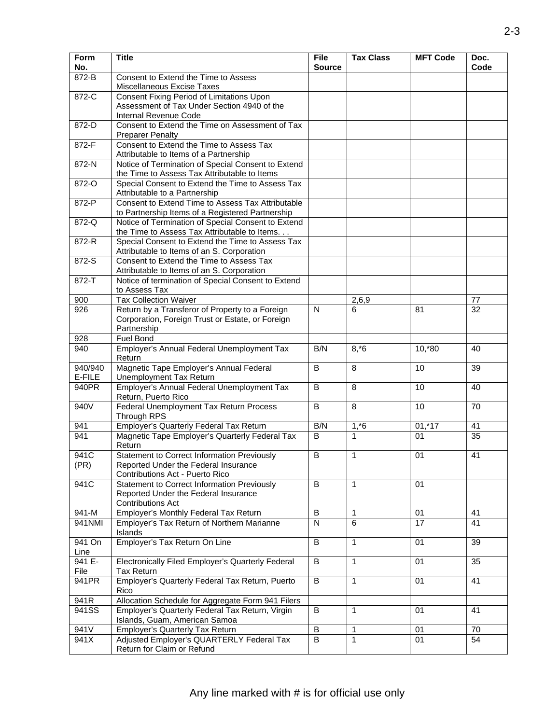| Form<br>No.       | <b>Title</b>                                                                                                                  | <b>File</b><br><b>Source</b> | <b>Tax Class</b> | <b>MFT Code</b> | Doc.<br>Code |
|-------------------|-------------------------------------------------------------------------------------------------------------------------------|------------------------------|------------------|-----------------|--------------|
| 872-B             | Consent to Extend the Time to Assess<br>Miscellaneous Excise Taxes                                                            |                              |                  |                 |              |
| 872-C             | <b>Consent Fixing Period of Limitations Upon</b><br>Assessment of Tax Under Section 4940 of the<br>Internal Revenue Code      |                              |                  |                 |              |
| 872-D             | Consent to Extend the Time on Assessment of Tax<br><b>Preparer Penalty</b>                                                    |                              |                  |                 |              |
| 872-F             | Consent to Extend the Time to Assess Tax<br>Attributable to Items of a Partnership                                            |                              |                  |                 |              |
| $872-N$           | Notice of Termination of Special Consent to Extend<br>the Time to Assess Tax Attributable to Items                            |                              |                  |                 |              |
| 872-O             | Special Consent to Extend the Time to Assess Tax<br>Attributable to a Partnership                                             |                              |                  |                 |              |
| 872-P             | Consent to Extend Time to Assess Tax Attributable<br>to Partnership Items of a Registered Partnership                         |                              |                  |                 |              |
| 872-Q             | Notice of Termination of Special Consent to Extend<br>the Time to Assess Tax Attributable to Items.                           |                              |                  |                 |              |
| 872-R             | Special Consent to Extend the Time to Assess Tax<br>Attributable to Items of an S. Corporation                                |                              |                  |                 |              |
| 872-S             | Consent to Extend the Time to Assess Tax<br>Attributable to Items of an S. Corporation                                        |                              |                  |                 |              |
| $872 - T$         | Notice of termination of Special Consent to Extend<br>to Assess Tax                                                           |                              |                  |                 |              |
| 900               | <b>Tax Collection Waiver</b>                                                                                                  |                              | 2,6,9            |                 | 77           |
| 926               | Return by a Transferor of Property to a Foreign<br>Corporation, Foreign Trust or Estate, or Foreign<br>Partnership            | N                            | 6                | 81              | 32           |
| 928               | Fuel Bond                                                                                                                     |                              |                  |                 |              |
| 940               | Employer's Annual Federal Unemployment Tax<br>Return                                                                          | B/N                          | $8, *6$          | $10, *80$       | 40           |
| 940/940<br>E-FILE | Magnetic Tape Employer's Annual Federal<br>Unemployment Tax Return                                                            | B                            | 8                | 10              | 39           |
| 940PR             | Employer's Annual Federal Unemployment Tax<br>Return, Puerto Rico                                                             | B                            | 8                | 10              | 40           |
| 940V              | Federal Unemployment Tax Return Process<br>Through RPS                                                                        | B                            | 8                | 10              | 70           |
| 941               | Employer's Quarterly Federal Tax Return                                                                                       | B/N                          | $1, *6$          | $01,*17$        | 41           |
| 941               | Magnetic Tape Employer's Quarterly Federal Tax<br>Return                                                                      | B                            | 1                | 01              | 35           |
| 941C<br>(PR)      | <b>Statement to Correct Information Previously</b><br>Reported Under the Federal Insurance<br>Contributions Act - Puerto Rico | $\overline{B}$               | 1                | 01              | 41           |
| 941C              | <b>Statement to Correct Information Previously</b><br>Reported Under the Federal Insurance<br><b>Contributions Act</b>        | B                            | $\mathbf{1}$     | 01              |              |
| 941-M             | Employer's Monthly Federal Tax Return                                                                                         | $\sf B$                      | 1                | 01              | 41           |
| 941NMI            | Employer's Tax Return of Northern Marianne<br>Islands                                                                         | N                            | 6                | 17              | 41           |
| 941 On<br>Line    | Employer's Tax Return On Line                                                                                                 | $\overline{B}$               | $\mathbf{1}$     | 01              | 39           |
| 941 E-<br>File    | <b>Electronically Filed Employer's Quarterly Federal</b><br><b>Tax Return</b>                                                 | B                            | $\mathbf{1}$     | 01              | 35           |
| 941PR             | Employer's Quarterly Federal Tax Return, Puerto<br>Rico                                                                       | $\sf{B}$                     | $\mathbf{1}$     | 01              | 41           |
| 941R              | Allocation Schedule for Aggregate Form 941 Filers                                                                             |                              |                  |                 |              |
| 941SS             | Employer's Quarterly Federal Tax Return, Virgin<br>Islands, Guam, American Samoa                                              | B                            | 1                | 01              | 41           |
| 941V              | <b>Employer's Quarterly Tax Return</b>                                                                                        | $\overline{B}$               | 1                | 01              | 70           |
| 941X              | Adjusted Employer's QUARTERLY Federal Tax<br>Return for Claim or Refund                                                       | $\overline{B}$               | $\mathbf{1}$     | 01              | 54           |
|                   |                                                                                                                               |                              |                  |                 |              |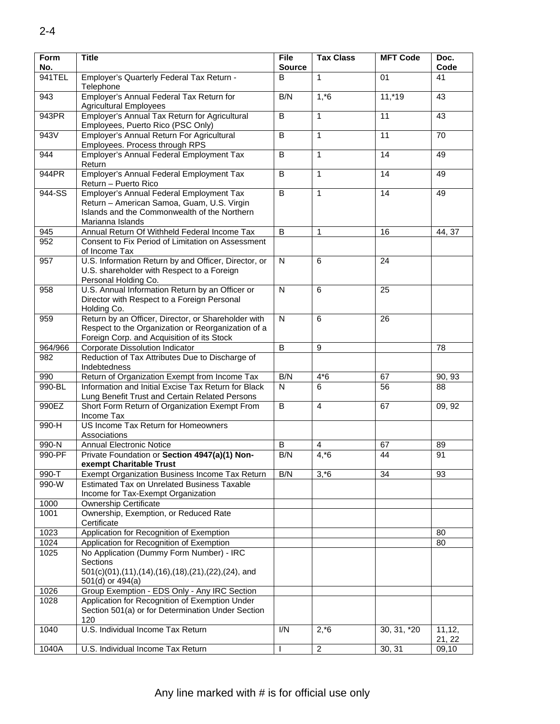| Form<br>No. | <b>Title</b>                                                                                                                                               | <b>File</b><br><b>Source</b> | <b>Tax Class</b> | <b>MFT Code</b> | Doc.<br>Code      |
|-------------|------------------------------------------------------------------------------------------------------------------------------------------------------------|------------------------------|------------------|-----------------|-------------------|
| 941TEL      | Employer's Quarterly Federal Tax Return -                                                                                                                  | B                            | $\mathbf{1}$     | 01              | 41                |
|             | Telephone                                                                                                                                                  |                              |                  |                 |                   |
| 943         | Employer's Annual Federal Tax Return for<br><b>Agricultural Employees</b>                                                                                  | B/N                          | $1, *6$          | $11,*19$        | 43                |
| 943PR       | Employer's Annual Tax Return for Agricultural<br>Employees, Puerto Rico (PSC Only)                                                                         | B                            | 1                | 11              | 43                |
| 943V        | Employer's Annual Return For Agricultural<br>Employees. Process through RPS                                                                                | $\overline{B}$               | $\mathbf{1}$     | 11              | $\overline{70}$   |
| 944         | Employer's Annual Federal Employment Tax<br>Return                                                                                                         | B                            | $\mathbf{1}$     | 14              | 49                |
| 944PR       | Employer's Annual Federal Employment Tax<br>Return - Puerto Rico                                                                                           | B                            | 1                | 14              | 49                |
| 944-SS      | Employer's Annual Federal Employment Tax<br>Return - American Samoa, Guam, U.S. Virgin<br>Islands and the Commonwealth of the Northern<br>Marianna Islands | $\overline{B}$               | $\mathbf{1}$     | 14              | 49                |
| 945         | Annual Return Of Withheld Federal Income Tax                                                                                                               | B                            | $\mathbf{1}$     | 16              | 44, 37            |
| 952         | Consent to Fix Period of Limitation on Assessment<br>of Income Tax                                                                                         |                              |                  |                 |                   |
| 957         | U.S. Information Return by and Officer, Director, or<br>U.S. shareholder with Respect to a Foreign<br>Personal Holding Co.                                 | N                            | 6                | 24              |                   |
| 958         | U.S. Annual Information Return by an Officer or<br>Director with Respect to a Foreign Personal<br>Holding Co.                                              | $\mathsf{N}$                 | 6                | 25              |                   |
| 959         | Return by an Officer, Director, or Shareholder with<br>Respect to the Organization or Reorganization of a<br>Foreign Corp. and Acquisition of its Stock    | N                            | 6                | 26              |                   |
| 964/966     | Corporate Dissolution Indicator                                                                                                                            | B                            | 9                |                 | 78                |
| 982         | Reduction of Tax Attributes Due to Discharge of<br>Indebtedness                                                                                            |                              |                  |                 |                   |
| 990         | Return of Organization Exempt from Income Tax                                                                                                              | B/N                          | $4*6$            | 67              | 90, 93            |
| 990-BL      | Information and Initial Excise Tax Return for Black<br>Lung Benefit Trust and Certain Related Persons                                                      | N                            | 6                | 56              | 88                |
| 990EZ       | Short Form Return of Organization Exempt From<br>Income Tax                                                                                                | B                            | $\overline{4}$   | 67              | 09, 92            |
| 990-H       | US Income Tax Return for Homeowners<br>Associations                                                                                                        |                              |                  |                 |                   |
| 990-N       | <b>Annual Electronic Notice</b>                                                                                                                            | B                            | 4                | 67              | 89                |
| 990-PF      | Private Foundation or Section 4947(a)(1) Non-<br>exempt Charitable Trust                                                                                   | B/N                          | $4, *6$          | 44              | 91                |
| 990-T       | Exempt Organization Business Income Tax Return                                                                                                             | B/N                          | $3, *6$          | 34              | 93                |
| 990-W       | <b>Estimated Tax on Unrelated Business Taxable</b><br>Income for Tax-Exempt Organization                                                                   |                              |                  |                 |                   |
| 1000        | <b>Ownership Certificate</b>                                                                                                                               |                              |                  |                 |                   |
| 1001        | Ownership, Exemption, or Reduced Rate<br>Certificate                                                                                                       |                              |                  |                 |                   |
| 1023        | Application for Recognition of Exemption                                                                                                                   |                              |                  |                 | 80                |
|             |                                                                                                                                                            |                              |                  |                 |                   |
| 1024        | Application for Recognition of Exemption                                                                                                                   |                              |                  |                 | 80                |
| 1025        | No Application (Dummy Form Number) - IRC<br><b>Sections</b><br>501(c)(01),(11),(14),(16),(18),(21),(22),(24), and<br>501(d) or 494(a)                      |                              |                  |                 |                   |
| 1026        | Group Exemption - EDS Only - Any IRC Section                                                                                                               |                              |                  |                 |                   |
| 1028        | Application for Recognition of Exemption Under                                                                                                             |                              |                  |                 |                   |
|             | Section 501(a) or for Determination Under Section<br>120                                                                                                   |                              |                  |                 |                   |
| 1040        | U.S. Individual Income Tax Return                                                                                                                          | $\overline{IN}$              | $2, *6$          | 30, 31, *20     | 11, 12,<br>21, 22 |
| 1040A       | U.S. Individual Income Tax Return                                                                                                                          | I.                           | $\overline{2}$   | 30, 31          | 09,10             |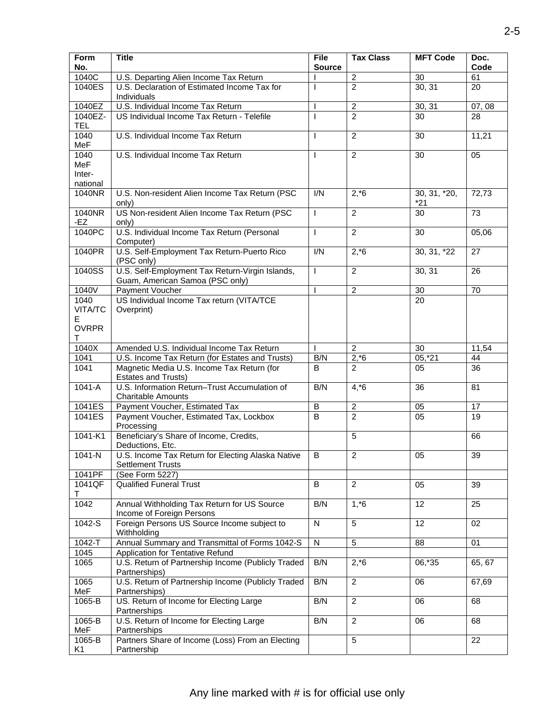| <b>MFT Code</b> | Doc.<br>Code                                                                                                                                                             |
|-----------------|--------------------------------------------------------------------------------------------------------------------------------------------------------------------------|
|                 | 61                                                                                                                                                                       |
|                 | 20                                                                                                                                                                       |
|                 |                                                                                                                                                                          |
| 30, 31          | 07, 08                                                                                                                                                                   |
| 30              | 28                                                                                                                                                                       |
| 30              | 11,21                                                                                                                                                                    |
| 30              | 05                                                                                                                                                                       |
|                 |                                                                                                                                                                          |
|                 |                                                                                                                                                                          |
|                 |                                                                                                                                                                          |
|                 | 72,73                                                                                                                                                                    |
| 30              | 73                                                                                                                                                                       |
|                 |                                                                                                                                                                          |
| 30              | 05,06                                                                                                                                                                    |
|                 | 27                                                                                                                                                                       |
|                 |                                                                                                                                                                          |
| 30, 31          | 26                                                                                                                                                                       |
|                 |                                                                                                                                                                          |
|                 | 70                                                                                                                                                                       |
|                 |                                                                                                                                                                          |
|                 |                                                                                                                                                                          |
|                 |                                                                                                                                                                          |
|                 |                                                                                                                                                                          |
|                 | 11,54                                                                                                                                                                    |
| $05,^*21$       | 44                                                                                                                                                                       |
| 05              | $\overline{36}$                                                                                                                                                          |
| 36              | 81                                                                                                                                                                       |
|                 |                                                                                                                                                                          |
|                 | 17<br>19                                                                                                                                                                 |
|                 |                                                                                                                                                                          |
|                 | 66                                                                                                                                                                       |
| 05              | 39                                                                                                                                                                       |
|                 |                                                                                                                                                                          |
|                 |                                                                                                                                                                          |
|                 | 39                                                                                                                                                                       |
|                 | $\overline{25}$                                                                                                                                                          |
|                 |                                                                                                                                                                          |
| 12              | 02                                                                                                                                                                       |
|                 |                                                                                                                                                                          |
|                 | 01                                                                                                                                                                       |
|                 |                                                                                                                                                                          |
|                 | 65, 67                                                                                                                                                                   |
|                 | 67,69                                                                                                                                                                    |
| 06              | 68                                                                                                                                                                       |
|                 |                                                                                                                                                                          |
| 06              | 68                                                                                                                                                                       |
|                 | 22                                                                                                                                                                       |
|                 |                                                                                                                                                                          |
|                 | $\overline{30}$<br>30, 31<br>30, 31, *20,<br>*21<br>$30, 31, *22$<br>$\overline{30}$<br>$\overline{20}$<br>30<br>05<br>05<br>05<br>$\overline{12}$<br>88<br>06,*35<br>06 |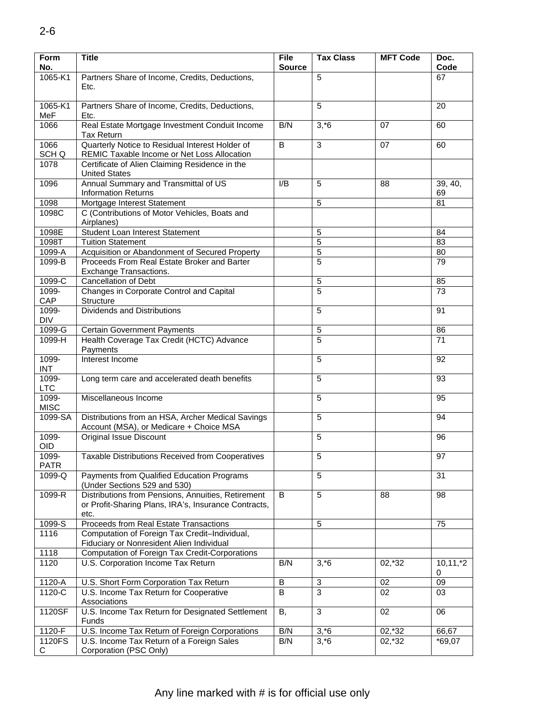| <b>Form</b><br>No.   | <b>Title</b>                                                                                                       | <b>File</b><br><b>Source</b> | <b>Tax Class</b> | <b>MFT Code</b> | Doc.<br>Code      |
|----------------------|--------------------------------------------------------------------------------------------------------------------|------------------------------|------------------|-----------------|-------------------|
| 1065-K1              | Partners Share of Income, Credits, Deductions,                                                                     |                              | 5                |                 | 67                |
|                      | Etc.                                                                                                               |                              |                  |                 |                   |
| 1065-K1<br>MeF       | Partners Share of Income, Credits, Deductions,<br>Etc.                                                             |                              | 5                |                 | 20                |
| 1066                 | Real Estate Mortgage Investment Conduit Income<br><b>Tax Return</b>                                                | B/N                          | $3, *6$          | 07              | 60                |
| 1066<br>SCH Q        | Quarterly Notice to Residual Interest Holder of<br>REMIC Taxable Income or Net Loss Allocation                     | B                            | 3                | 07              | 60                |
| 1078                 | Certificate of Alien Claiming Residence in the<br><b>United States</b>                                             |                              |                  |                 |                   |
| 1096                 | Annual Summary and Transmittal of US<br><b>Information Returns</b>                                                 | I/B                          | 5                | 88              | 39, 40,<br>69     |
| 1098                 | Mortgage Interest Statement                                                                                        |                              | 5                |                 | 81                |
| 1098C                | C (Contributions of Motor Vehicles, Boats and<br>Airplanes)                                                        |                              |                  |                 |                   |
| 1098E                | Student Loan Interest Statement                                                                                    |                              | 5                |                 | 84                |
| 1098T                | <b>Tuition Statement</b>                                                                                           |                              | $\overline{5}$   |                 | 83                |
| 1099-A               | Acquisition or Abandonment of Secured Property                                                                     |                              | $\overline{5}$   |                 | 80                |
| 1099-B               | Proceeds From Real Estate Broker and Barter<br>Exchange Transactions.                                              |                              | $\overline{5}$   |                 | 79                |
| 1099-C               | <b>Cancellation of Debt</b>                                                                                        |                              | 5                |                 | 85                |
| 1099-                | Changes in Corporate Control and Capital                                                                           |                              | 5                |                 | 73                |
| CAP                  | Structure                                                                                                          |                              |                  |                 |                   |
| 1099-<br><b>DIV</b>  | <b>Dividends and Distributions</b>                                                                                 |                              | 5                |                 | 91                |
| 1099-G               | <b>Certain Government Payments</b>                                                                                 |                              | 5                |                 | 86                |
| 1099-H               | Health Coverage Tax Credit (HCTC) Advance<br>Payments                                                              |                              | 5                |                 | 71                |
| 1099-<br><b>INT</b>  | Interest Income                                                                                                    |                              | 5                |                 | 92                |
| 1099-<br><b>LTC</b>  | Long term care and accelerated death benefits                                                                      |                              | 5                |                 | 93                |
| 1099-<br><b>MISC</b> | Miscellaneous Income                                                                                               |                              | $\overline{5}$   |                 | 95                |
| $1099-SA$            | Distributions from an HSA, Archer Medical Savings<br>Account (MSA), or Medicare + Choice MSA                       |                              | 5                |                 | 94                |
| 1099-<br>OID         | <b>Original Issue Discount</b>                                                                                     |                              | 5                |                 | 96                |
| 1099-<br>PATR        | Taxable Distributions Received from Cooperatives                                                                   |                              | 5                |                 | 97                |
| 1099-Q               | Payments from Qualified Education Programs<br>(Under Sections 529 and 530)                                         |                              | 5                |                 | 31                |
| 1099-R               | Distributions from Pensions, Annuities, Retirement<br>or Profit-Sharing Plans, IRA's, Insurance Contracts,<br>etc. | B                            | 5                | 88              | 98                |
| 1099-S               | Proceeds from Real Estate Transactions                                                                             |                              | 5                |                 | 75                |
| 1116                 | Computation of Foreign Tax Credit-Individual,<br>Fiduciary or Nonresident Alien Individual                         |                              |                  |                 |                   |
| 1118                 | Computation of Foreign Tax Credit-Corporations                                                                     |                              |                  |                 |                   |
| 1120                 | U.S. Corporation Income Tax Return                                                                                 | B/N                          | $3, *6$          | 02,*32          | $10, 11, *2$<br>0 |
| 1120-A               | U.S. Short Form Corporation Tax Return                                                                             | B                            | 3                | 02              | 09                |
| 1120-C               | U.S. Income Tax Return for Cooperative<br>Associations                                                             | B                            | 3                | 02              | 03                |
| 1120SF               | U.S. Income Tax Return for Designated Settlement<br>Funds                                                          | В,                           | $\mathbf{3}$     | 02              | 06                |
| 1120-F               | U.S. Income Tax Return of Foreign Corporations                                                                     | B/N                          | $3, *6$          | 02,*32          | 66,67             |
| 1120FS               | U.S. Income Tax Return of a Foreign Sales                                                                          | B/N                          | $3, *6$          | 02,*32          | $*69,07$          |
| С                    | Corporation (PSC Only)                                                                                             |                              |                  |                 |                   |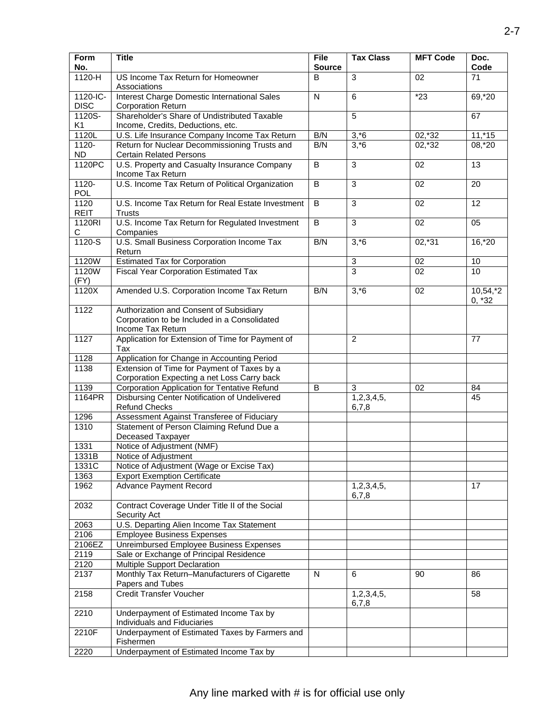| <b>Form</b><br>No.       | <b>Title</b>                                                                                                 | File<br><b>Source</b> | <b>Tax Class</b>    | <b>MFT Code</b> | Doc.<br>Code           |
|--------------------------|--------------------------------------------------------------------------------------------------------------|-----------------------|---------------------|-----------------|------------------------|
| $1120-H$                 | US Income Tax Return for Homeowner<br>Associations                                                           | B                     | ن                   | 02              | 71                     |
| 1120-IC-<br><b>DISC</b>  | <b>Interest Charge Domestic International Sales</b><br><b>Corporation Return</b>                             | ${\sf N}$             | $\,6\,$             | $*23$           | 69,*20                 |
| 1120S-<br>K <sub>1</sub> | Shareholder's Share of Undistributed Taxable<br>Income, Credits, Deductions, etc.                            |                       | 5                   |                 | 67                     |
| 1120L                    | U.S. Life Insurance Company Income Tax Return                                                                | B/N                   | $3, *6$             | $02,*32$        | $11,*15$               |
| $1120 -$                 | Return for Nuclear Decommissioning Trusts and                                                                | B/N                   | $3, *6$             | $02,*32$        | 08, *20                |
| <b>ND</b>                | <b>Certain Related Persons</b>                                                                               |                       |                     |                 |                        |
| 1120PC                   | U.S. Property and Casualty Insurance Company<br>Income Tax Return                                            | $\overline{B}$        | $\overline{3}$      | 02              | $\overline{13}$        |
| $1120 -$<br>POL          | U.S. Income Tax Return of Political Organization                                                             | $\overline{B}$        | $\mathbf{3}$        | 02              | 20                     |
| 1120<br><b>REIT</b>      | U.S. Income Tax Return for Real Estate Investment<br><b>Trusts</b>                                           | $\overline{B}$        | $\overline{3}$      | $\overline{02}$ | $\overline{12}$        |
| 1120RI<br>С              | U.S. Income Tax Return for Regulated Investment<br>Companies                                                 | B                     | $\overline{3}$      | 02              | 05                     |
| $1120-S$                 | U.S. Small Business Corporation Income Tax<br>Return                                                         | B/N                   | $3, *6$             | $02,*31$        | $16, *20$              |
| 1120W                    | <b>Estimated Tax for Corporation</b>                                                                         |                       | $\sqrt{3}$          | 02              | 10                     |
| 1120W<br>(FY)            | <b>Fiscal Year Corporation Estimated Tax</b>                                                                 |                       | $\overline{3}$      | 02              | 10                     |
| 1120X                    | Amended U.S. Corporation Income Tax Return                                                                   | B/N                   | $3, *6$             | 02              | $10,54,*2$<br>$0, *32$ |
| 1122                     | Authorization and Consent of Subsidiary<br>Corporation to be Included in a Consolidated<br>Income Tax Return |                       |                     |                 |                        |
| 1127                     | Application for Extension of Time for Payment of<br>Tax                                                      |                       | 2                   |                 | 77                     |
| 1128                     | Application for Change in Accounting Period                                                                  |                       |                     |                 |                        |
| 1138                     | Extension of Time for Payment of Taxes by a                                                                  |                       |                     |                 |                        |
|                          | Corporation Expecting a net Loss Carry back                                                                  |                       |                     |                 |                        |
| 1139                     | <b>Corporation Application for Tentative Refund</b>                                                          | $\overline{B}$        | 3                   | 02              | 84                     |
| 1164PR                   | Disbursing Center Notification of Undelivered<br><b>Refund Checks</b>                                        |                       | 1,2,3,4,5,<br>6,7,8 |                 | 45                     |
| 1296                     | Assessment Against Transferee of Fiduciary                                                                   |                       |                     |                 |                        |
| 1310                     | Statement of Person Claiming Refund Due a                                                                    |                       |                     |                 |                        |
|                          | Deceased Taxpayer<br>Notice of Adjustment (NMF)                                                              |                       |                     |                 |                        |
| 1331<br>1331B            | Notice of Adjustment                                                                                         |                       |                     |                 |                        |
| 1331C                    | Notice of Adjustment (Wage or Excise Tax)                                                                    |                       |                     |                 |                        |
| 1363                     | <b>Export Exemption Certificate</b>                                                                          |                       |                     |                 |                        |
| 1962                     | <b>Advance Payment Record</b>                                                                                |                       | 1,2,3,4,5,          |                 | 17                     |
|                          |                                                                                                              |                       | 6,7,8               |                 |                        |
| 2032                     | Contract Coverage Under Title II of the Social<br>Security Act                                               |                       |                     |                 |                        |
| 2063                     | U.S. Departing Alien Income Tax Statement                                                                    |                       |                     |                 |                        |
| 2106                     | <b>Employee Business Expenses</b>                                                                            |                       |                     |                 |                        |
| 2106EZ                   | Unreimbursed Employee Business Expenses                                                                      |                       |                     |                 |                        |
| 2119                     | Sale or Exchange of Principal Residence                                                                      |                       |                     |                 |                        |
| 2120                     | Multiple Support Declaration                                                                                 |                       |                     |                 |                        |
| 2137                     | Monthly Tax Return-Manufacturers of Cigarette<br>Papers and Tubes                                            | N                     | 6                   | 90              | 86                     |
| 2158                     | <b>Credit Transfer Voucher</b>                                                                               |                       | 1,2,3,4,5,<br>6,7,8 |                 | 58                     |
| 2210                     | Underpayment of Estimated Income Tax by<br>Individuals and Fiduciaries                                       |                       |                     |                 |                        |
| 2210F                    | Underpayment of Estimated Taxes by Farmers and<br>Fishermen                                                  |                       |                     |                 |                        |
| 2220                     | Underpayment of Estimated Income Tax by                                                                      |                       |                     |                 |                        |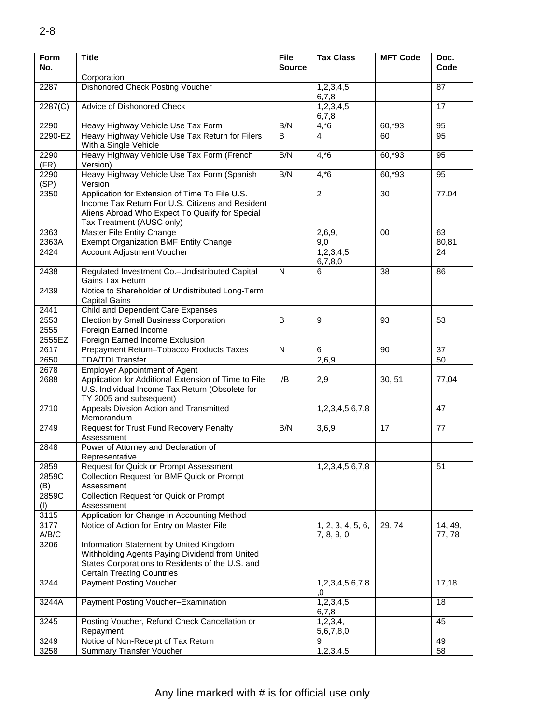| <b>Form</b><br>No. | <b>Title</b>                                                                                                                                                                       | <b>File</b><br><b>Source</b> | <b>Tax Class</b>                | <b>MFT Code</b> | Doc.<br>Code     |
|--------------------|------------------------------------------------------------------------------------------------------------------------------------------------------------------------------------|------------------------------|---------------------------------|-----------------|------------------|
|                    | Corporation                                                                                                                                                                        |                              |                                 |                 |                  |
| 2287               | Dishonored Check Posting Voucher                                                                                                                                                   |                              | 1,2,3,4,5,<br>6,7,8             |                 | 87               |
| 2287(C)            | Advice of Dishonored Check                                                                                                                                                         |                              | 1,2,3,4,5,<br>6,7,8             |                 | 17               |
| 2290               | Heavy Highway Vehicle Use Tax Form                                                                                                                                                 | B/N                          | $4, *6$                         | 60,*93          | 95               |
| 2290-EZ            | Heavy Highway Vehicle Use Tax Return for Filers<br>With a Single Vehicle                                                                                                           | B                            | $\overline{4}$                  | 60              | 95               |
| 2290<br>(FR)       | Heavy Highway Vehicle Use Tax Form (French<br>Version)                                                                                                                             | B/N                          | $4, *6$                         | 60,*93          | 95               |
| 2290<br>(SP)       | Heavy Highway Vehicle Use Tax Form (Spanish<br>Version                                                                                                                             | B/N                          | $4, *6$                         | 60,*93          | 95               |
| 2350               | Application for Extension of Time To File U.S.<br>Income Tax Return For U.S. Citizens and Resident<br>Aliens Abroad Who Expect To Qualify for Special<br>Tax Treatment (AUSC only) | $\mathbf{I}$                 | 2                               | 30              | 77.04            |
| 2363               | Master File Entity Change                                                                                                                                                          |                              | 2,6,9,                          | 00              | 63               |
| 2363A              | <b>Exempt Organization BMF Entity Change</b>                                                                                                                                       |                              | 9,0                             |                 | 80,81            |
| 2424               | Account Adjustment Voucher                                                                                                                                                         |                              | 1,2,3,4,5,<br>6,7,8,0           |                 | 24               |
| 2438               | Regulated Investment Co.-Undistributed Capital<br>Gains Tax Return                                                                                                                 | $\mathsf{N}$                 | 6                               | 38              | 86               |
| 2439               | Notice to Shareholder of Undistributed Long-Term<br><b>Capital Gains</b>                                                                                                           |                              |                                 |                 |                  |
| 2441               | Child and Dependent Care Expenses                                                                                                                                                  |                              |                                 |                 |                  |
| 2553               | Election by Small Business Corporation                                                                                                                                             | B                            | 9                               | 93              | 53               |
| 2555               | Foreign Earned Income                                                                                                                                                              |                              |                                 |                 |                  |
| 2555EZ             | Foreign Earned Income Exclusion                                                                                                                                                    |                              |                                 |                 |                  |
| 2617               | Prepayment Return-Tobacco Products Taxes                                                                                                                                           | N                            | 6                               | 90              | 37               |
| 2650               | <b>TDA/TDI Transfer</b>                                                                                                                                                            |                              | 2,6,9                           |                 | 50               |
| 2678               | <b>Employer Appointment of Agent</b>                                                                                                                                               |                              |                                 |                 |                  |
| 2688               | Application for Additional Extension of Time to File<br>U.S. Individual Income Tax Return (Obsolete for<br>TY 2005 and subsequent)                                                 | I/B                          | 2,9                             | 30, 51          | 77,04            |
| 2710               | Appeals Division Action and Transmitted<br>Memorandum                                                                                                                              |                              | 1,2,3,4,5,6,7,8                 |                 | 47               |
| 2749               | <b>Request for Trust Fund Recovery Penalty</b><br>Assessment                                                                                                                       | B/N                          | 3,6,9                           | 17              | 77               |
| 2848               | Power of Attorney and Declaration of<br>Representative                                                                                                                             |                              |                                 |                 |                  |
| 2859               | Request for Quick or Prompt Assessment                                                                                                                                             |                              | 1,2,3,4,5,6,7,8                 |                 | 51               |
| 2859C<br>(B)       | Collection Request for BMF Quick or Prompt<br>Assessment                                                                                                                           |                              |                                 |                 |                  |
| 2859C<br>(I)       | <b>Collection Request for Quick or Prompt</b><br>Assessment                                                                                                                        |                              |                                 |                 |                  |
| 3115               | Application for Change in Accounting Method                                                                                                                                        |                              |                                 |                 |                  |
| 3177<br>A/B/C      | Notice of Action for Entry on Master File                                                                                                                                          |                              | 1, 2, 3, 4, 5, 6,<br>7, 8, 9, 0 | 29, 74          | 14, 49,<br>77,78 |
| 3206               | Information Statement by United Kingdom<br>Withholding Agents Paying Dividend from United<br>States Corporations to Residents of the U.S. and<br><b>Certain Treating Countries</b> |                              |                                 |                 |                  |
| 3244               | <b>Payment Posting Voucher</b>                                                                                                                                                     |                              | 1,2,3,4,5,6,7,8<br>.0           |                 | 17,18            |
| 3244A              | Payment Posting Voucher-Examination                                                                                                                                                |                              | 1,2,3,4,5,<br>6,7,8             |                 | 18               |
| 3245               | Posting Voucher, Refund Check Cancellation or<br>Repayment                                                                                                                         |                              | 1,2,3,4,<br>5,6,7,8,0           |                 | 45               |
| 3249               | Notice of Non-Receipt of Tax Return                                                                                                                                                |                              | 9                               |                 | 49               |
| 3258               | <b>Summary Transfer Voucher</b>                                                                                                                                                    |                              | 1,2,3,4,5,                      |                 | $\overline{58}$  |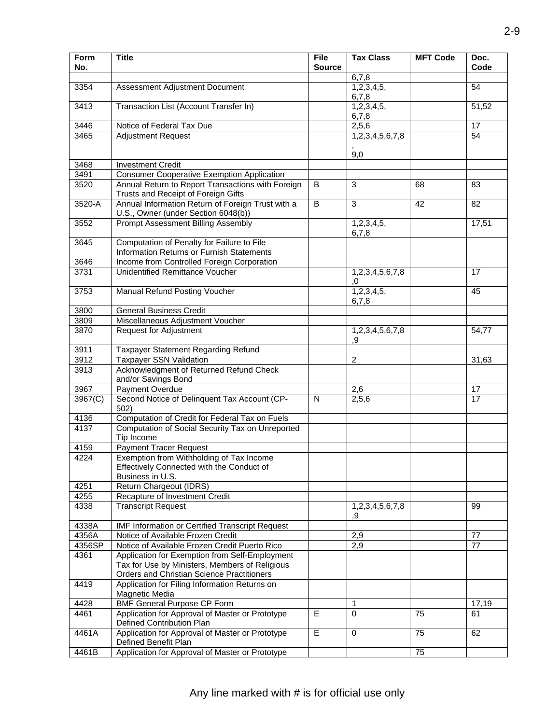| Form             | <b>Title</b>                                                                                 | File           | <b>Tax Class</b> | <b>MFT Code</b> | Doc.            |
|------------------|----------------------------------------------------------------------------------------------|----------------|------------------|-----------------|-----------------|
| No.              |                                                                                              | <b>Source</b>  |                  |                 | Code            |
|                  |                                                                                              |                | 6,7,8            |                 |                 |
| 3354             | Assessment Adjustment Document                                                               |                | 1,2,3,4,5,       |                 | 54              |
|                  |                                                                                              |                | 6,7,8            |                 |                 |
| 3413             | Transaction List (Account Transfer In)                                                       |                | 1,2,3,4,5,       |                 | 51,52           |
|                  |                                                                                              |                | 6,7,8            |                 |                 |
| 3446             | Notice of Federal Tax Due                                                                    |                | 2,5,6            |                 | 17              |
| 3465             | <b>Adjustment Request</b>                                                                    |                | 1,2,3,4,5,6,7,8  |                 | $\overline{54}$ |
|                  |                                                                                              |                |                  |                 |                 |
|                  |                                                                                              |                | 9,0              |                 |                 |
| 3468             | Investment Credit                                                                            |                |                  |                 |                 |
| 3491             | <b>Consumer Cooperative Exemption Application</b>                                            |                |                  |                 |                 |
| 3520             | Annual Return to Report Transactions with Foreign                                            | B              | 3                | 68              | 83              |
|                  | Trusts and Receipt of Foreign Gifts                                                          |                |                  |                 |                 |
| 3520-A           | Annual Information Return of Foreign Trust with a                                            | B              | 3                | 42              | 82              |
|                  | U.S., Owner (under Section 6048(b))                                                          |                |                  |                 |                 |
| 3552             | Prompt Assessment Billing Assembly                                                           |                | 1,2,3,4,5,       |                 | 17,51           |
| 3645             | Computation of Penalty for Failure to File                                                   |                | 6,7,8            |                 |                 |
|                  | Information Returns or Furnish Statements                                                    |                |                  |                 |                 |
| 3646             | Income from Controlled Foreign Corporation                                                   |                |                  |                 |                 |
| 3731             | <b>Unidentified Remittance Voucher</b>                                                       |                | 1,2,3,4,5,6,7,8  |                 | 17              |
|                  |                                                                                              |                | ,0               |                 |                 |
| 3753             | Manual Refund Posting Voucher                                                                |                | 1,2,3,4,5,       |                 | 45              |
|                  |                                                                                              |                | 6,7,8            |                 |                 |
| 3800             | <b>General Business Credit</b>                                                               |                |                  |                 |                 |
| 3809             | Miscellaneous Adjustment Voucher                                                             |                |                  |                 |                 |
| 3870             | <b>Request for Adjustment</b>                                                                |                | 1,2,3,4,5,6,7,8  |                 | 54,77           |
|                  |                                                                                              |                | .9               |                 |                 |
| 3911             | Taxpayer Statement Regarding Refund                                                          |                |                  |                 |                 |
| 3912             | <b>Taxpayer SSN Validation</b>                                                               |                | $\overline{2}$   |                 | 31,63           |
| 3913             | Acknowledgment of Returned Refund Check                                                      |                |                  |                 |                 |
|                  | and/or Savings Bond                                                                          |                |                  |                 |                 |
| 3967             | Payment Overdue                                                                              |                | 2,6              |                 | 17              |
| 3967(C)          | Second Notice of Delinquent Tax Account (CP-                                                 | N              | 2,5,6            |                 | 17              |
|                  | 502)                                                                                         |                |                  |                 |                 |
| 4136             | Computation of Credit for Federal Tax on Fuels                                               |                |                  |                 |                 |
| 4137             | Computation of Social Security Tax on Unreported                                             |                |                  |                 |                 |
|                  | Tip Income                                                                                   |                |                  |                 |                 |
| 4159             | <b>Payment Tracer Request</b>                                                                |                |                  |                 |                 |
| 4224             | Exemption from Withholding of Tax Income                                                     |                |                  |                 |                 |
|                  | Effectively Connected with the Conduct of                                                    |                |                  |                 |                 |
|                  | Business in U.S.                                                                             |                |                  |                 |                 |
| 4251             | Return Chargeout (IDRS)                                                                      |                |                  |                 |                 |
| $\frac{1}{4255}$ | Recapture of Investment Credit                                                               |                |                  |                 |                 |
| 4338             | <b>Transcript Request</b>                                                                    |                | 1,2,3,4,5,6,7,8  |                 | 99              |
|                  |                                                                                              |                | .9               |                 |                 |
| 4338A            | IMF Information or Certified Transcript Request                                              |                |                  |                 |                 |
| 4356A            | Notice of Available Frozen Credit                                                            |                | 2,9              |                 | 77              |
| 4356SP           | Notice of Available Frozen Credit Puerto Rico                                                |                | 2,9              |                 | 77              |
| 4361             | Application for Exemption from Self-Employment                                               |                |                  |                 |                 |
|                  | Tax for Use by Ministers, Members of Religious<br>Orders and Christian Science Practitioners |                |                  |                 |                 |
| 4419             | Application for Filing Information Returns on                                                |                |                  |                 |                 |
|                  | Magnetic Media                                                                               |                |                  |                 |                 |
| 4428             | <b>BMF General Purpose CP Form</b>                                                           |                | 1                |                 | 17,19           |
| 4461             | Application for Approval of Master or Prototype                                              | $\overline{E}$ | $\Omega$         | $\overline{75}$ | 61              |
|                  | Defined Contribution Plan                                                                    |                |                  |                 |                 |
| 4461A            | Application for Approval of Master or Prototype                                              | E              | $\mathbf 0$      | 75              | 62              |
|                  | Defined Benefit Plan                                                                         |                |                  |                 |                 |
| 4461B            | Application for Approval of Master or Prototype                                              |                |                  | 75              |                 |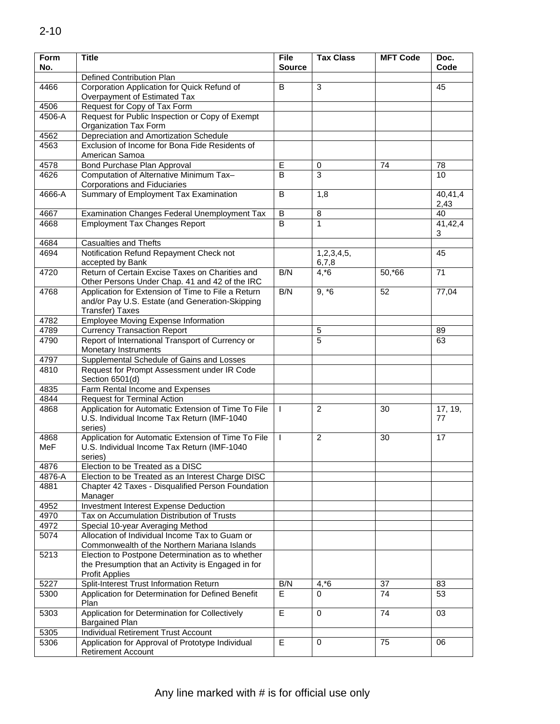| Form<br>No. | <b>Title</b>                                                                                                  | <b>File</b><br><b>Source</b> | <b>Tax Class</b> | <b>MFT Code</b> | Doc.<br>Code    |
|-------------|---------------------------------------------------------------------------------------------------------------|------------------------------|------------------|-----------------|-----------------|
|             | Defined Contribution Plan                                                                                     |                              |                  |                 |                 |
| 4466        | Corporation Application for Quick Refund of<br>Overpayment of Estimated Tax                                   | B                            | 3                |                 | 45              |
| 4506        | Request for Copy of Tax Form                                                                                  |                              |                  |                 |                 |
| 4506-A      | Request for Public Inspection or Copy of Exempt                                                               |                              |                  |                 |                 |
|             | Organization Tax Form                                                                                         |                              |                  |                 |                 |
| 4562        | Depreciation and Amortization Schedule                                                                        |                              |                  |                 |                 |
| 4563        | Exclusion of Income for Bona Fide Residents of                                                                |                              |                  |                 |                 |
|             | American Samoa                                                                                                |                              |                  |                 |                 |
| 4578        | Bond Purchase Plan Approval                                                                                   | E                            | 0                | 74              | 78              |
| 4626        | Computation of Alternative Minimum Tax-<br>Corporations and Fiduciaries                                       | B                            | $\overline{3}$   |                 | 10              |
| 4666-A      | Summary of Employment Tax Examination                                                                         | B                            | 1,8              |                 | 40,41,4<br>2,43 |
| 4667        | Examination Changes Federal Unemployment Tax                                                                  | B                            | 8                |                 | 40              |
| 4668        | <b>Employment Tax Changes Report</b>                                                                          | B                            | 1                |                 | 41,42,4         |
|             |                                                                                                               |                              |                  |                 | 3               |
| 4684        | <b>Casualties and Thefts</b>                                                                                  |                              |                  |                 |                 |
| 4694        | Notification Refund Repayment Check not                                                                       |                              | 1,2,3,4,5,       |                 | 45              |
| 4720        | accepted by Bank<br>Return of Certain Excise Taxes on Charities and                                           | B/N                          | 6,7,8            | 50,*66          | 71              |
|             | Other Persons Under Chap. 41 and 42 of the IRC                                                                |                              | $4, *6$          |                 |                 |
| 4768        | Application for Extension of Time to File a Return<br>and/or Pay U.S. Estate (and Generation-Skipping         | B/N                          | $9, *6$          | 52              | 77,04           |
|             | Transfer) Taxes                                                                                               |                              |                  |                 |                 |
| 4782        | <b>Employee Moving Expense Information</b>                                                                    |                              |                  |                 |                 |
| 4789        | <b>Currency Transaction Report</b>                                                                            |                              | 5                |                 | 89              |
| 4790        | Report of International Transport of Currency or<br>Monetary Instruments                                      |                              | 5                |                 | 63              |
| 4797        | Supplemental Schedule of Gains and Losses                                                                     |                              |                  |                 |                 |
| 4810        | Request for Prompt Assessment under IR Code<br>Section 6501(d)                                                |                              |                  |                 |                 |
| 4835        | Farm Rental Income and Expenses                                                                               |                              |                  |                 |                 |
| 4844        | <b>Request for Terminal Action</b>                                                                            |                              |                  |                 |                 |
| 4868        | Application for Automatic Extension of Time To File<br>U.S. Individual Income Tax Return (IMF-1040<br>series) | L                            | 2                | 30              | 17, 19,<br>77   |
| 4868        | Application for Automatic Extension of Time To File                                                           | $\mathbf{I}$                 | $\overline{2}$   | 30              | 17              |
| MeF         | U.S. Individual Income Tax Return (IMF-1040<br>series)                                                        |                              |                  |                 |                 |
| 4876        | Election to be Treated as a DISC                                                                              |                              |                  |                 |                 |
| 4876-A      | Election to be Treated as an Interest Charge DISC                                                             |                              |                  |                 |                 |
| 4881        | Chapter 42 Taxes - Disqualified Person Foundation                                                             |                              |                  |                 |                 |
|             | Manager                                                                                                       |                              |                  |                 |                 |
| 4952        | Investment Interest Expense Deduction                                                                         |                              |                  |                 |                 |
| 4970        | Tax on Accumulation Distribution of Trusts                                                                    |                              |                  |                 |                 |
| 4972        | Special 10-year Averaging Method                                                                              |                              |                  |                 |                 |
| 5074        | Allocation of Individual Income Tax to Guam or<br>Commonwealth of the Northern Mariana Islands                |                              |                  |                 |                 |
| 5213        | Election to Postpone Determination as to whether                                                              |                              |                  |                 |                 |
|             | the Presumption that an Activity is Engaged in for<br><b>Profit Applies</b>                                   |                              |                  |                 |                 |
| 5227        | Split-Interest Trust Information Return                                                                       | B/N                          | $4, *6$          | 37              | 83              |
| 5300        | Application for Determination for Defined Benefit<br>Plan                                                     | E.                           | 0                | 74              | 53              |
| 5303        | Application for Determination for Collectively<br><b>Bargained Plan</b>                                       | E                            | $\mathbf 0$      | 74              | 03              |
| 5305        | Individual Retirement Trust Account                                                                           |                              |                  |                 |                 |
| 5306        | Application for Approval of Prototype Individual                                                              | E                            | 0                | 75              | 06              |
|             | Retirement Account                                                                                            |                              |                  |                 |                 |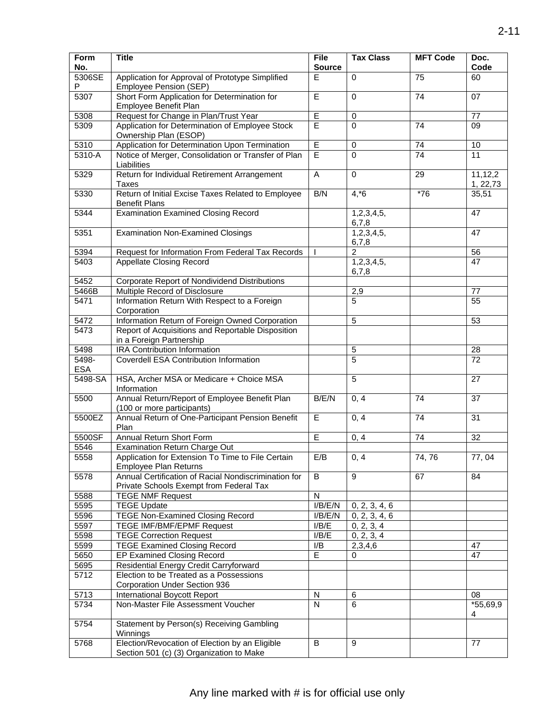| Form<br>No.         | <b>Title</b>                                                                                    | <b>File</b><br><b>Source</b> | <b>Tax Class</b>    | <b>MFT Code</b> | Doc.<br>Code        |
|---------------------|-------------------------------------------------------------------------------------------------|------------------------------|---------------------|-----------------|---------------------|
| 5306SE<br>P         | Application for Approval of Prototype Simplified<br>Employee Pension (SEP)                      | E                            | $\Omega$            | $\overline{75}$ | 60                  |
| 5307                | Short Form Application for Determination for<br>Employee Benefit Plan                           | E                            | $\Omega$            | 74              | 07                  |
| 5308                | Request for Change in Plan/Trust Year                                                           | E                            | 0                   |                 | 77                  |
| 5309                | Application for Determination of Employee Stock<br>Ownership Plan (ESOP)                        | Έ                            | $\mathbf 0$         | 74              | 09                  |
| 5310                | Application for Determination Upon Termination                                                  | E                            | $\mathbf 0$         | 74              | 10                  |
| 5310-A              | Notice of Merger, Consolidation or Transfer of Plan<br>Liabilities                              | E                            | $\mathbf{0}$        | 74              | 11                  |
| 5329                | Return for Individual Retirement Arrangement<br>Taxes                                           | $\overline{A}$               | $\mathbf 0$         | 29              | 11,12,2<br>1, 22,73 |
| 5330                | Return of Initial Excise Taxes Related to Employee<br><b>Benefit Plans</b>                      | B/N                          | $4, *6$             | $*76$           | 35,51               |
| 5344                | <b>Examination Examined Closing Record</b>                                                      |                              | 1,2,3,4,5,<br>6,7,8 |                 | 47                  |
| 5351                | <b>Examination Non-Examined Closings</b>                                                        |                              | 1,2,3,4,5,<br>6,7,8 |                 | 47                  |
| 5394                | Request for Information From Federal Tax Records                                                | $\mathbf{I}$                 | $\overline{2}$      |                 | 56                  |
| 5403                | <b>Appellate Closing Record</b>                                                                 |                              | 1,2,3,4,5,<br>6,7,8 |                 | 47                  |
| 5452                | Corporate Report of Nondividend Distributions                                                   |                              |                     |                 |                     |
| 5466B               | Multiple Record of Disclosure                                                                   |                              | 2,9                 |                 | 77                  |
| 5471                | Information Return With Respect to a Foreign<br>Corporation                                     |                              | 5                   |                 | 55                  |
| 5472                | Information Return of Foreign Owned Corporation                                                 |                              | 5                   |                 | 53                  |
| 5473                | Report of Acquisitions and Reportable Disposition<br>in a Foreign Partnership                   |                              |                     |                 |                     |
| 5498                | <b>IRA Contribution Information</b>                                                             |                              | 5                   |                 | 28                  |
| 5498-<br><b>ESA</b> | Coverdell ESA Contribution Information                                                          |                              | 5                   |                 | 72                  |
| 5498-SA             | HSA, Archer MSA or Medicare + Choice MSA<br>Information                                         |                              | 5                   |                 | 27                  |
| 5500                | Annual Return/Report of Employee Benefit Plan<br>(100 or more participants)                     | B/E/N                        | 0, 4                | 74              | $\overline{37}$     |
| 5500EZ              | Annual Return of One-Participant Pension Benefit<br>Plan                                        | E                            | 0, 4                | 74              | 31                  |
| 5500SF              | Annual Return Short Form                                                                        | E                            | 0, 4                | 74              | 32                  |
| 5546                | Examination Return Charge Out                                                                   |                              |                     |                 |                     |
| 5558                | Application for Extension To Time to File Certain<br>Employee Plan Returns                      | E/B                          | 0, 4                | 74,76           | 77,04               |
| 5578                | Annual Certification of Racial Nondiscrimination for<br>Private Schools Exempt from Federal Tax | B                            | 9                   | 67              | 84                  |
| 5588                | <b>TEGE NMF Request</b>                                                                         | N                            |                     |                 |                     |
| 5595                | <b>TEGE Update</b>                                                                              | I/B/E/N                      | 0, 2, 3, 4, 6       |                 |                     |
| 5596                | <b>TEGE Non-Examined Closing Record</b>                                                         | I/B/E/N                      | 0, 2, 3, 4, 6       |                 |                     |
| 5597                | TEGE IMF/BMF/EPMF Request                                                                       | I/B/E                        | 0, 2, 3, 4          |                 |                     |
| 5598                | <b>TEGE Correction Request</b>                                                                  | I/B/E                        | 0, 2, 3, 4          |                 |                     |
| 5599                | <b>TEGE Examined Closing Record</b>                                                             | I/B                          | 2,3,4,6             |                 | 47                  |
| 5650                | EP Examined Closing Record                                                                      | E                            | 0                   |                 | 47                  |
| 5695                | Residential Energy Credit Carryforward                                                          |                              |                     |                 |                     |
| 5712                | Election to be Treated as a Possessions<br>Corporation Under Section 936                        |                              |                     |                 |                     |
| 5713                | International Boycott Report                                                                    | N                            | 6                   |                 | 08                  |
| 5734                | Non-Master File Assessment Voucher                                                              | N                            | 6                   |                 | $*55,69,9$<br>4     |
| 5754                | Statement by Person(s) Receiving Gambling<br>Winnings                                           |                              |                     |                 |                     |
| 5768                | Election/Revocation of Election by an Eligible<br>Section 501 (c) (3) Organization to Make      | B                            | 9                   |                 | 77                  |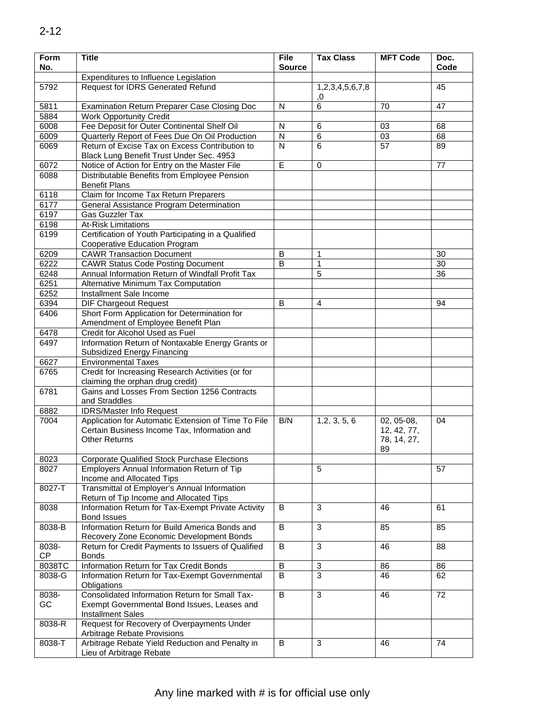| Form<br>No. | <b>Title</b>                                                                                                                | <b>File</b><br><b>Source</b> | <b>Tax Class</b>      | <b>MFT Code</b>                                | Doc.<br>Code    |
|-------------|-----------------------------------------------------------------------------------------------------------------------------|------------------------------|-----------------------|------------------------------------------------|-----------------|
|             | Expenditures to Influence Legislation                                                                                       |                              |                       |                                                |                 |
| 5792        | Request for IDRS Generated Refund                                                                                           |                              | 1,2,3,4,5,6,7,8<br>0, |                                                | 45              |
| 5811        | <b>Examination Return Preparer Case Closing Doc</b>                                                                         | $\mathsf{N}$                 | 6                     | 70                                             | 47              |
| 5884        | <b>Work Opportunity Credit</b>                                                                                              |                              |                       |                                                |                 |
| 6008        | Fee Deposit for Outer Continental Shelf Oil                                                                                 | N                            | 6                     | 03                                             | 68              |
| 6009        | Quarterly Report of Fees Due On Oil Production                                                                              | ${\sf N}$                    | 6                     | 03                                             | 68              |
| 6069        | Return of Excise Tax on Excess Contribution to<br>Black Lung Benefit Trust Under Sec. 4953                                  | N                            | $\overline{6}$        | $\overline{57}$                                | 89              |
| 6072        | Notice of Action for Entry on the Master File                                                                               | E                            | $\mathbf 0$           |                                                | 77              |
| 6088        | Distributable Benefits from Employee Pension<br><b>Benefit Plans</b>                                                        |                              |                       |                                                |                 |
| 6118        | Claim for Income Tax Return Preparers                                                                                       |                              |                       |                                                |                 |
| 6177        | General Assistance Program Determination                                                                                    |                              |                       |                                                |                 |
| 6197        | Gas Guzzler Tax                                                                                                             |                              |                       |                                                |                 |
| 6198        | <b>At-Risk Limitations</b>                                                                                                  |                              |                       |                                                |                 |
| 6199        | Certification of Youth Participating in a Qualified<br>Cooperative Education Program                                        |                              |                       |                                                |                 |
| 6209        | <b>CAWR Transaction Document</b>                                                                                            | B                            | $\mathbf{1}$          |                                                | 30              |
| 6222        | <b>CAWR Status Code Posting Document</b>                                                                                    | $\overline{B}$               | 1                     |                                                | $\overline{30}$ |
| 6248        | Annual Information Return of Windfall Profit Tax                                                                            |                              | 5                     |                                                | 36              |
| 6251        | <b>Alternative Minimum Tax Computation</b>                                                                                  |                              |                       |                                                |                 |
| 6252        | Installment Sale Income                                                                                                     |                              |                       |                                                |                 |
| 6394        | <b>DIF Chargeout Request</b>                                                                                                | B                            | $\overline{4}$        |                                                | 94              |
| 6406        | Short Form Application for Determination for<br>Amendment of Employee Benefit Plan                                          |                              |                       |                                                |                 |
| 6478        | Credit for Alcohol Used as Fuel                                                                                             |                              |                       |                                                |                 |
| 6497        | Information Return of Nontaxable Energy Grants or<br>Subsidized Energy Financing                                            |                              |                       |                                                |                 |
| 6627        | <b>Environmental Taxes</b>                                                                                                  |                              |                       |                                                |                 |
| 6765        | Credit for Increasing Research Activities (or for<br>claiming the orphan drug credit)                                       |                              |                       |                                                |                 |
| 6781        | Gains and Losses From Section 1256 Contracts<br>and Straddles                                                               |                              |                       |                                                |                 |
| 6882        | <b>IDRS/Master Info Request</b>                                                                                             |                              |                       |                                                |                 |
| 7004        | Application for Automatic Extension of Time To File<br>Certain Business Income Tax, Information and<br><b>Other Returns</b> |                              | 1, 2, 3, 5, 6         | 02, 05-08,<br>12, 42, 77,<br>78, 14, 27,<br>89 | 04              |
| 8023        | <b>Corporate Qualified Stock Purchase Elections</b>                                                                         |                              |                       |                                                |                 |
| 8027        | Employers Annual Information Return of Tip<br>Income and Allocated Tips                                                     |                              | 5                     |                                                | 57              |
| 8027-T      | Transmittal of Employer's Annual Information<br>Return of Tip Income and Allocated Tips                                     |                              |                       |                                                |                 |
| 8038        | Information Return for Tax-Exempt Private Activity<br><b>Bond Issues</b>                                                    | B                            | 3                     | 46                                             | 61              |
| 8038-B      | Information Return for Build America Bonds and<br>Recovery Zone Economic Development Bonds                                  | B                            | 3                     | 85                                             | 85              |
| 8038-<br>CP | Return for Credit Payments to Issuers of Qualified<br><b>Bonds</b>                                                          | B                            | 3                     | 46                                             | 88              |
| 8038TC      | Information Return for Tax Credit Bonds                                                                                     |                              | 3                     | 86                                             | 86              |
| 8038-G      | Information Return for Tax-Exempt Governmental<br>Obligations                                                               | В                            | 3                     | 46                                             | 62              |
| 8038-       | Consolidated Information Return for Small Tax-                                                                              | B                            | 3                     | 46                                             | 72              |
| GC          | Exempt Governmental Bond Issues, Leases and<br><b>Installment Sales</b>                                                     |                              |                       |                                                |                 |
| 8038-R      | Request for Recovery of Overpayments Under                                                                                  |                              |                       |                                                |                 |
| 8038-T      | Arbitrage Rebate Provisions<br>Arbitrage Rebate Yield Reduction and Penalty in<br>B<br>3<br>46<br>Lieu of Arbitrage Rebate  |                              |                       |                                                | 74              |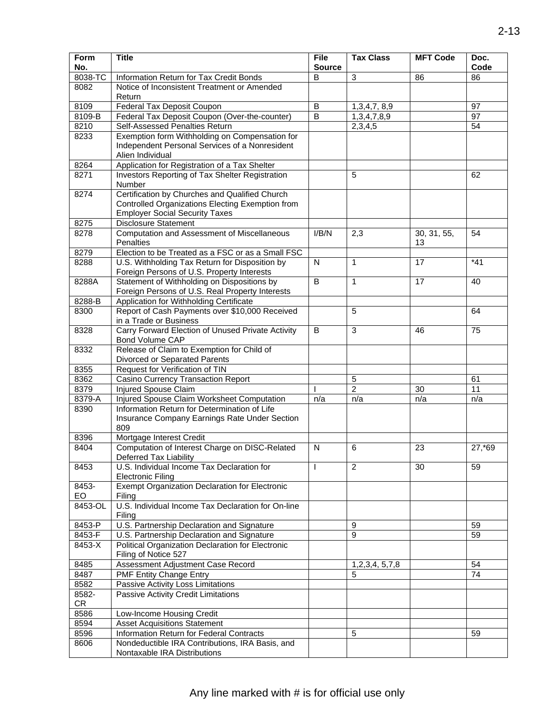| Form<br>No. | <b>Title</b>                                                                                                                                |              | <b>Tax Class</b> | <b>MFT Code</b>   | Doc.<br>Code    |
|-------------|---------------------------------------------------------------------------------------------------------------------------------------------|--------------|------------------|-------------------|-----------------|
| 8038-TC     | Information Return for Tax Credit Bonds                                                                                                     | B            | 3                | 86                | 86              |
| 8082        | Notice of Inconsistent Treatment or Amended<br>Return                                                                                       |              |                  |                   |                 |
| 8109        | Federal Tax Deposit Coupon                                                                                                                  | B            | 1,3,4,7,8,9      |                   | 97              |
| 8109-B      | Federal Tax Deposit Coupon (Over-the-counter)                                                                                               | B            | 1,3,4,7,8,9      |                   | $\overline{97}$ |
| 8210        | Self-Assessed Penalties Return                                                                                                              |              | 2,3,4,5          |                   | 54              |
| 8233        | Exemption form Withholding on Compensation for<br>Independent Personal Services of a Nonresident<br>Alien Individual                        |              |                  |                   |                 |
| 8264        | Application for Registration of a Tax Shelter                                                                                               |              |                  |                   |                 |
| 8271        | Investors Reporting of Tax Shelter Registration<br>Number                                                                                   |              | 5                |                   | 62              |
| 8274        | Certification by Churches and Qualified Church<br>Controlled Organizations Electing Exemption from<br><b>Employer Social Security Taxes</b> |              |                  |                   |                 |
| 8275        | <b>Disclosure Statement</b>                                                                                                                 |              |                  |                   |                 |
| 8278        | <b>Computation and Assessment of Miscellaneous</b><br><b>Penalties</b>                                                                      | I/B/N        | 2,3              | 30, 31, 55,<br>13 | 54              |
| 8279        | Election to be Treated as a FSC or as a Small FSC                                                                                           |              |                  |                   |                 |
| 8288        | U.S. Withholding Tax Return for Disposition by<br>Foreign Persons of U.S. Property Interests                                                | $\mathsf{N}$ | $\mathbf{1}$     | 17                | $*41$           |
| 8288A       | Statement of Withholding on Dispositions by<br>Foreign Persons of U.S. Real Property Interests                                              | B            | $\mathbf{1}$     | 17                | 40              |
| 8288-B      | Application for Withholding Certificate                                                                                                     |              |                  |                   |                 |
| 8300        | Report of Cash Payments over \$10,000 Received<br>in a Trade or Business                                                                    |              | 5                |                   | 64              |
| 8328        | Carry Forward Election of Unused Private Activity<br>Bond Volume CAP                                                                        | B            | 3                | 46                | 75              |
| 8332        | Release of Claim to Exemption for Child of<br>Divorced or Separated Parents                                                                 |              |                  |                   |                 |
| 8355        | Request for Verification of TIN                                                                                                             |              |                  |                   |                 |
| 8362        | <b>Casino Currency Transaction Report</b>                                                                                                   |              | $\sqrt{5}$       |                   | 61              |
| 8379        | <b>Injured Spouse Claim</b>                                                                                                                 |              | $\overline{2}$   | 30                | $\overline{11}$ |
| 8379-A      | Injured Spouse Claim Worksheet Computation                                                                                                  | n/a          | n/a              | n/a               | n/a             |
| 8390        | Information Return for Determination of Life<br>Insurance Company Earnings Rate Under Section<br>809                                        |              |                  |                   |                 |
| 8396        | Mortgage Interest Credit                                                                                                                    |              |                  |                   |                 |
| 8404        | Computation of Interest Charge on DISC-Related<br><b>Deferred Tax Liability</b>                                                             | N            | 6                | 23                | 27,*69          |
| 8453        | U.S. Individual Income Tax Declaration for<br><b>Electronic Filing</b>                                                                      | T            | 2                | 30                | 59              |
| 8453-<br>EO | Exempt Organization Declaration for Electronic<br>Filing                                                                                    |              |                  |                   |                 |
| 8453-OL     | U.S. Individual Income Tax Declaration for On-line<br>Filing                                                                                |              |                  |                   |                 |
| 8453-P      | U.S. Partnership Declaration and Signature                                                                                                  |              | 9                |                   | 59              |
| 8453-F      | U.S. Partnership Declaration and Signature                                                                                                  |              | 9                |                   | 59              |
| 8453-X      | Political Organization Declaration for Electronic<br>Filing of Notice 527                                                                   |              |                  |                   |                 |
| 8485        | Assessment Adjustment Case Record                                                                                                           |              | 1,2,3,4, 5,7,8   |                   | 54              |
| 8487        | PMF Entity Change Entry                                                                                                                     |              | 5                |                   | 74              |
| 8582        | Passive Activity Loss Limitations                                                                                                           |              |                  |                   |                 |
| 8582-<br>CR | Passive Activity Credit Limitations                                                                                                         |              |                  |                   |                 |
| 8586        | Low-Income Housing Credit                                                                                                                   |              |                  |                   |                 |
| 8594        | <b>Asset Acquisitions Statement</b>                                                                                                         |              |                  |                   |                 |
| 8596        | Information Return for Federal Contracts                                                                                                    |              | $\sqrt{5}$       |                   | 59              |
| 8606        | Nondeductible IRA Contributions, IRA Basis, and<br>Nontaxable IRA Distributions                                                             |              |                  |                   |                 |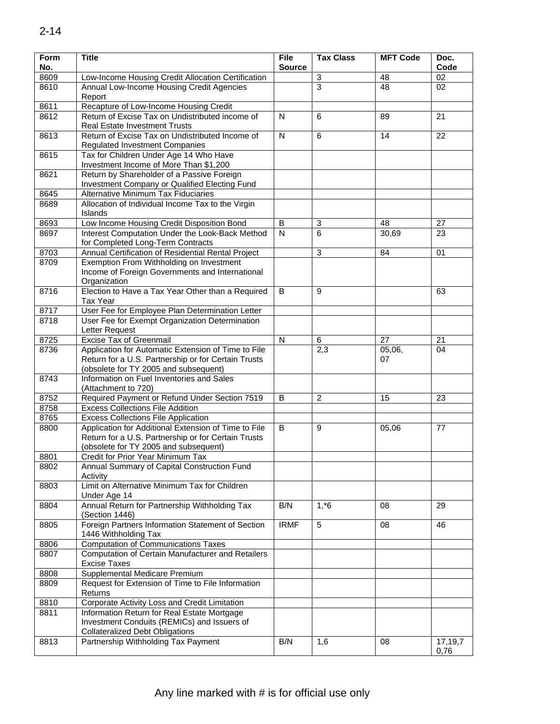| Form<br>No. | <b>Title</b>                                                                                                                                         | <b>File</b><br><b>Source</b> | <b>Tax Class</b> | <b>MFT Code</b> | Doc.<br>Code    |
|-------------|------------------------------------------------------------------------------------------------------------------------------------------------------|------------------------------|------------------|-----------------|-----------------|
| 8609        | Low-Income Housing Credit Allocation Certification                                                                                                   |                              | 3                | 48              | 02              |
| 8610        | Annual Low-Income Housing Credit Agencies                                                                                                            |                              | 3                | 48              | 02              |
|             | Report                                                                                                                                               |                              |                  |                 |                 |
| 8611        | Recapture of Low-Income Housing Credit                                                                                                               |                              |                  |                 |                 |
| 8612        | Return of Excise Tax on Undistributed income of<br><b>Real Estate Investment Trusts</b>                                                              | N                            | 6                | 89              | 21              |
| 8613        | Return of Excise Tax on Undistributed Income of<br><b>Regulated Investment Companies</b>                                                             | N                            | 6                | 14              | 22              |
| 8615        | Tax for Children Under Age 14 Who Have<br>Investment Income of More Than \$1,200                                                                     |                              |                  |                 |                 |
| 8621        | Return by Shareholder of a Passive Foreign                                                                                                           |                              |                  |                 |                 |
|             | Investment Company or Qualified Electing Fund                                                                                                        |                              |                  |                 |                 |
| 8645        | Alternative Minimum Tax Fiduciaries                                                                                                                  |                              |                  |                 |                 |
| 8689        | Allocation of Individual Income Tax to the Virgin<br>Islands                                                                                         |                              |                  |                 |                 |
| 8693        | Low Income Housing Credit Disposition Bond                                                                                                           | B                            | $\mathbf{3}$     | 48              | 27              |
| 8697        | Interest Computation Under the Look-Back Method<br>for Completed Long-Term Contracts                                                                 | $\mathsf{N}$                 | 6                | 30,69           | 23              |
| 8703        | Annual Certification of Residential Rental Project                                                                                                   |                              | $\sqrt{3}$       | 84              | 01              |
| 8709        | Exemption From Withholding on Investment<br>Income of Foreign Governments and International                                                          |                              |                  |                 |                 |
|             | Organization                                                                                                                                         |                              |                  |                 |                 |
| 8716        | Election to Have a Tax Year Other than a Required<br><b>Tax Year</b>                                                                                 | B                            | 9                |                 | 63              |
| 8717        | User Fee for Employee Plan Determination Letter                                                                                                      |                              |                  |                 |                 |
| 8718        | User Fee for Exempt Organization Determination<br>Letter Request                                                                                     |                              |                  |                 |                 |
| 8725        | <b>Excise Tax of Greenmail</b>                                                                                                                       | N                            | 6                | 27              | 21              |
| 8736        | Application for Automatic Extension of Time to File                                                                                                  |                              | 2,3              | 05,06,          | 04              |
|             | Return for a U.S. Partnership or for Certain Trusts<br>(obsolete for TY 2005 and subsequent)                                                         |                              |                  | 07              |                 |
| 8743        | Information on Fuel Inventories and Sales<br>(Attachment to 720)                                                                                     |                              |                  |                 |                 |
| 8752        | Required Payment or Refund Under Section 7519                                                                                                        | B                            | $\overline{2}$   | 15              | 23              |
| 8758        | <b>Excess Collections File Addition</b>                                                                                                              |                              |                  |                 |                 |
| 8765        | <b>Excess Collections File Application</b>                                                                                                           |                              |                  |                 |                 |
| 8800        | Application for Additional Extension of Time to File<br>Return for a U.S. Partnership or for Certain Trusts<br>(obsolete for TY 2005 and subsequent) |                              | 9                | 05,06           | 77              |
| 8801        | Credit for Prior Year Minimum Tax                                                                                                                    |                              |                  |                 |                 |
| 8802        | Annual Summary of Capital Construction Fund<br>Activity                                                                                              |                              |                  |                 |                 |
| 8803        | Limit on Alternative Minimum Tax for Children<br>Under Age 14                                                                                        |                              |                  |                 |                 |
| 8804        | Annual Return for Partnership Withholding Tax<br>(Section 1446)                                                                                      | B/N                          | $1, *6$          | 08              | 29              |
| 8805        | Foreign Partners Information Statement of Section<br>1446 Withholding Tax                                                                            | <b>IRMF</b>                  | 5                | 08              | 46              |
| 8806        | <b>Computation of Communications Taxes</b>                                                                                                           |                              |                  |                 |                 |
| 8807        | Computation of Certain Manufacturer and Retailers<br><b>Excise Taxes</b>                                                                             |                              |                  |                 |                 |
| 8808        | Supplemental Medicare Premium                                                                                                                        |                              |                  |                 |                 |
| 8809        | Request for Extension of Time to File Information<br>Returns                                                                                         |                              |                  |                 |                 |
| 8810        | Corporate Activity Loss and Credit Limitation                                                                                                        |                              |                  |                 |                 |
| 8811        | Information Return for Real Estate Mortgage<br>Investment Conduits (REMICs) and Issuers of                                                           |                              |                  |                 |                 |
|             | <b>Collateralized Debt Obligations</b>                                                                                                               |                              |                  |                 |                 |
| 8813        | Partnership Withholding Tax Payment                                                                                                                  | B/N                          | 1,6              | 08              | 17,19,7<br>0,76 |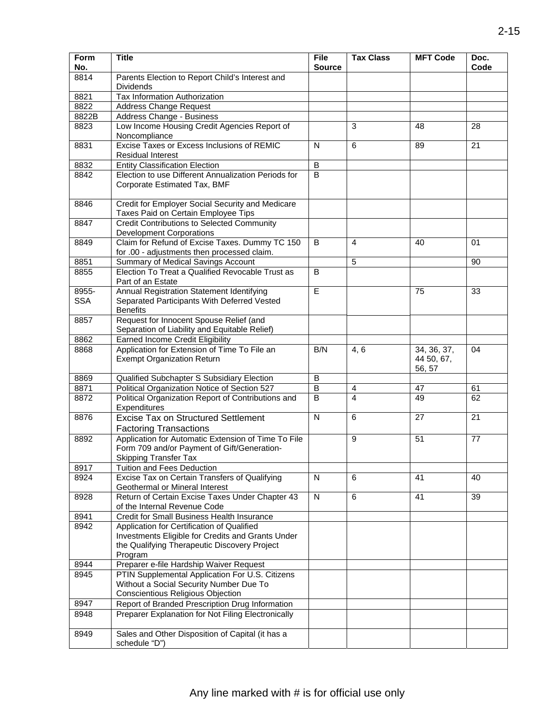| Form<br>No.         | <b>Title</b>                                                                                                                                               | <b>File</b><br><b>Source</b> | <b>Tax Class</b> | <b>MFT Code</b>                     | Doc.<br>Code    |
|---------------------|------------------------------------------------------------------------------------------------------------------------------------------------------------|------------------------------|------------------|-------------------------------------|-----------------|
| 8814                | Parents Election to Report Child's Interest and<br><b>Dividends</b>                                                                                        |                              |                  |                                     |                 |
| 8821                | Tax Information Authorization                                                                                                                              |                              |                  |                                     |                 |
| 8822                | <b>Address Change Request</b>                                                                                                                              |                              |                  |                                     |                 |
| 8822B               | Address Change - Business                                                                                                                                  |                              |                  |                                     |                 |
| 8823                | Low Income Housing Credit Agencies Report of<br>Noncompliance                                                                                              |                              | 3                | 48                                  | 28              |
| 8831                | Excise Taxes or Excess Inclusions of REMIC<br><b>Residual Interest</b>                                                                                     | N                            | 6                | 89                                  | 21              |
| 8832                | <b>Entity Classification Election</b>                                                                                                                      | B                            |                  |                                     |                 |
| 8842                | Election to use Different Annualization Periods for<br>Corporate Estimated Tax, BMF                                                                        | B                            |                  |                                     |                 |
| 8846                | Credit for Employer Social Security and Medicare<br>Taxes Paid on Certain Employee Tips                                                                    |                              |                  |                                     |                 |
| 8847                | <b>Credit Contributions to Selected Community</b><br><b>Development Corporations</b>                                                                       |                              |                  |                                     |                 |
| 8849                | Claim for Refund of Excise Taxes. Dummy TC 150<br>for .00 - adjustments then processed claim.                                                              | B                            | $\overline{4}$   | 40                                  | 01              |
| 8851                | Summary of Medical Savings Account                                                                                                                         |                              | 5                |                                     | 90              |
| 8855                | Election To Treat a Qualified Revocable Trust as<br>Part of an Estate                                                                                      | B                            |                  |                                     |                 |
| 8955-<br><b>SSA</b> | Annual Registration Statement Identifying<br>Separated Participants With Deferred Vested<br><b>Benefits</b>                                                | Ē                            |                  | 75                                  | 33              |
| 8857                | Request for Innocent Spouse Relief (and<br>Separation of Liability and Equitable Relief)                                                                   |                              |                  |                                     |                 |
| 8862                | Earned Income Credit Eligibility                                                                                                                           |                              |                  |                                     |                 |
| 8868                | Application for Extension of Time To File an<br><b>Exempt Organization Return</b>                                                                          | B/N<br>B                     | 4, 6             | 34, 36, 37,<br>44 50, 67,<br>56, 57 | 04              |
| 8869                | Qualified Subchapter S Subsidiary Election                                                                                                                 |                              |                  |                                     |                 |
| 8871                | Political Organization Notice of Section 527                                                                                                               | B                            | 4                | 47                                  | 61              |
| 8872                | Political Organization Report of Contributions and<br>Expenditures                                                                                         | $\sf B$                      | $\overline{4}$   | 49                                  | 62              |
| 8876                | <b>Excise Tax on Structured Settlement</b><br><b>Factoring Transactions</b>                                                                                | $\overline{N}$               | 6                | 27                                  | $\overline{21}$ |
| 8892                | Application for Automatic Extension of Time To File<br>Form 709 and/or Payment of Gift/Generation-<br><b>Skipping Transfer Tax</b>                         |                              | 9                | 51                                  | 77              |
| 8917                | Tuition and Fees Deduction                                                                                                                                 |                              |                  |                                     |                 |
| 8924                | Excise Tax on Certain Transfers of Qualifying<br>Geothermal or Mineral Interest                                                                            | N                            | 6                | 41                                  | 40              |
| 8928                | Return of Certain Excise Taxes Under Chapter 43<br>of the Internal Revenue Code                                                                            | ${\sf N}$                    | 6                | 41                                  | 39              |
| 8941                | <b>Credit for Small Business Health Insurance</b>                                                                                                          |                              |                  |                                     |                 |
| 8942                | Application for Certification of Qualified<br>Investments Eligible for Credits and Grants Under<br>the Qualifying Therapeutic Discovery Project<br>Program |                              |                  |                                     |                 |
| 8944                | Preparer e-file Hardship Waiver Request                                                                                                                    |                              |                  |                                     |                 |
| 8945                | PTIN Supplemental Application For U.S. Citizens<br>Without a Social Security Number Due To                                                                 |                              |                  |                                     |                 |
|                     | Conscientious Religious Objection                                                                                                                          |                              |                  |                                     |                 |
| 8947                | Report of Branded Prescription Drug Information                                                                                                            |                              |                  |                                     |                 |
| 8948                | Preparer Explanation for Not Filing Electronically                                                                                                         |                              |                  |                                     |                 |
| 8949                | Sales and Other Disposition of Capital (it has a<br>schedule "D")                                                                                          |                              |                  |                                     |                 |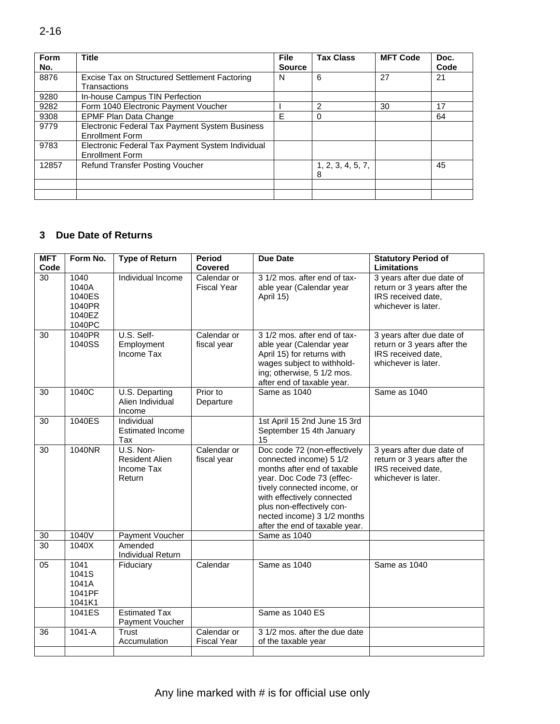| Form<br>No. | <b>Title</b>                                                               | <b>File</b><br><b>Source</b> | <b>Tax Class</b>       | <b>MFT Code</b> | Doc.<br>Code |
|-------------|----------------------------------------------------------------------------|------------------------------|------------------------|-----------------|--------------|
| 8876        | Excise Tax on Structured Settlement Factoring<br>Transactions              | N                            | 6                      | 27              | 21           |
| 9280        | In-house Campus TIN Perfection                                             |                              |                        |                 |              |
| 9282        | Form 1040 Electronic Payment Voucher                                       |                              | 2                      | 30              | 17           |
| 9308        | EPMF Plan Data Change                                                      | F                            | 0                      |                 | 64           |
| 9779        | Electronic Federal Tax Payment System Business<br><b>Enrollment Form</b>   |                              |                        |                 |              |
| 9783        | Electronic Federal Tax Payment System Individual<br><b>Enrollment Form</b> |                              |                        |                 |              |
| 12857       | Refund Transfer Posting Voucher                                            |                              | 1, 2, 3, 4, 5, 7,<br>8 |                 | 45           |
|             |                                                                            |                              |                        |                 |              |
|             |                                                                            |                              |                        |                 |              |

## **3 Due Date of Returns**

| <b>MFT</b><br>Code | Form No.                                              | <b>Type of Return</b>                                      | <b>Period</b><br>Covered          | <b>Due Date</b>                                                                                                                                                                                                                                                                | <b>Statutory Period of</b><br><b>Limitations</b>                                                      |
|--------------------|-------------------------------------------------------|------------------------------------------------------------|-----------------------------------|--------------------------------------------------------------------------------------------------------------------------------------------------------------------------------------------------------------------------------------------------------------------------------|-------------------------------------------------------------------------------------------------------|
| 30                 | 1040<br>1040A<br>1040ES<br>1040PR<br>1040EZ<br>1040PC | Individual Income                                          | Calendar or<br><b>Fiscal Year</b> | 3 1/2 mos. after end of tax-<br>able year (Calendar year<br>April 15)                                                                                                                                                                                                          | 3 years after due date of<br>return or 3 years after the<br>IRS received date,<br>whichever is later. |
| 30                 | 1040PR<br>1040SS                                      | U.S. Self-<br>Employment<br>Income Tax                     | Calendar or<br>fiscal year        | 3 1/2 mos. after end of tax-<br>able year (Calendar year<br>April 15) for returns with<br>wages subject to withhold-<br>ing; otherwise, 5 1/2 mos.<br>after end of taxable year.                                                                                               | 3 years after due date of<br>return or 3 years after the<br>IRS received date,<br>whichever is later. |
| 30                 | 1040C                                                 | U.S. Departing<br>Alien Individual<br>Income               | Prior to<br>Departure             | Same as 1040                                                                                                                                                                                                                                                                   | Same as 1040                                                                                          |
| 30                 | 1040ES                                                | Individual<br><b>Estimated Income</b><br>Tax               |                                   | 1st April 15 2nd June 15 3rd<br>September 15 4th January<br>15                                                                                                                                                                                                                 |                                                                                                       |
| 30                 | 1040NR                                                | U.S. Non-<br><b>Resident Alien</b><br>Income Tax<br>Return | Calendar or<br>fiscal year        | Doc code 72 (non-effectively<br>connected income) 5 1/2<br>months after end of taxable<br>year. Doc Code 73 (effec-<br>tively connected income, or<br>with effectively connected<br>plus non-effectively con-<br>nected income) 3 1/2 months<br>after the end of taxable year. | 3 years after due date of<br>return or 3 years after the<br>IRS received date,<br>whichever is later. |
| 30                 | 1040V                                                 | Payment Voucher                                            |                                   | Same as 1040                                                                                                                                                                                                                                                                   |                                                                                                       |
| 30                 | 1040X                                                 | Amended<br>Individual Return                               |                                   |                                                                                                                                                                                                                                                                                |                                                                                                       |
| $\overline{05}$    | 1041<br>1041S<br>1041A<br>1041PF<br>1041K1            | Fiduciary                                                  | Calendar                          | Same as 1040                                                                                                                                                                                                                                                                   | Same as 1040                                                                                          |
|                    | 1041ES                                                | <b>Estimated Tax</b><br>Payment Voucher                    |                                   | Same as 1040 ES                                                                                                                                                                                                                                                                |                                                                                                       |
| 36                 | 1041-A                                                | Trust<br>Accumulation                                      | Calendar or<br><b>Fiscal Year</b> | 3 1/2 mos. after the due date<br>of the taxable year                                                                                                                                                                                                                           |                                                                                                       |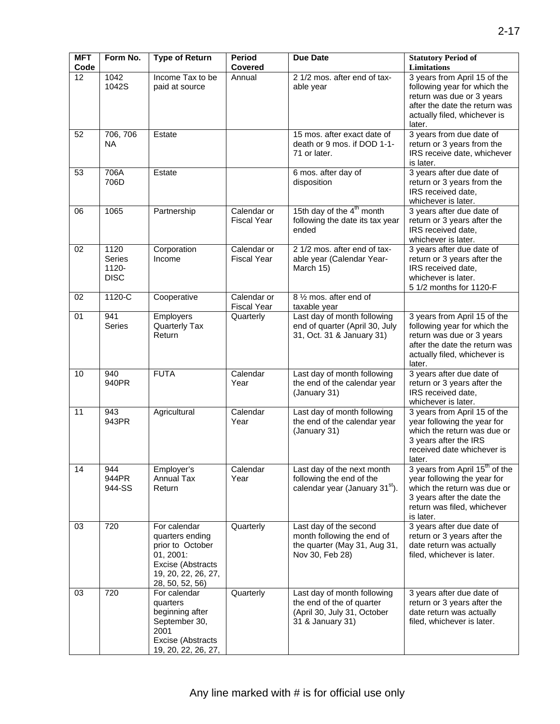| <b>MFT</b><br>Code | Form No.                                      | <b>Type of Return</b>                                                                                                           | Period<br><b>Covered</b>          | <b>Due Date</b>                                                                                             | <b>Statutory Period of</b><br><b>Limitations</b>                                                                                                                                   |
|--------------------|-----------------------------------------------|---------------------------------------------------------------------------------------------------------------------------------|-----------------------------------|-------------------------------------------------------------------------------------------------------------|------------------------------------------------------------------------------------------------------------------------------------------------------------------------------------|
| $\overline{12}$    | 1042<br>1042S                                 | Income Tax to be<br>paid at source                                                                                              | Annual                            | 2 1/2 mos. after end of tax-<br>able year                                                                   | 3 years from April 15 of the<br>following year for which the<br>return was due or 3 years<br>after the date the return was<br>actually filed, whichever is<br>later.               |
| 52                 | 706, 706<br><b>NA</b>                         | Estate                                                                                                                          |                                   | 15 mos. after exact date of<br>death or 9 mos. if DOD 1-1-<br>71 or later.                                  | 3 years from due date of<br>return or 3 years from the<br>IRS receive date, whichever<br>is later.                                                                                 |
| 53                 | 706A<br>706D                                  | Estate                                                                                                                          |                                   | 6 mos. after day of<br>disposition                                                                          | 3 years after due date of<br>return or 3 years from the<br>IRS received date,<br>whichever is later.                                                                               |
| 06                 | 1065                                          | Partnership                                                                                                                     | Calendar or<br><b>Fiscal Year</b> | 15th day of the 4 <sup>th</sup> month<br>following the date its tax year<br>ended                           | 3 years after due date of<br>return or 3 years after the<br>IRS received date,<br>whichever is later.                                                                              |
| 02                 | 1120<br><b>Series</b><br>1120-<br><b>DISC</b> | Corporation<br>Income                                                                                                           | Calendar or<br><b>Fiscal Year</b> | 2 1/2 mos. after end of tax-<br>able year (Calendar Year-<br>March 15)                                      | 3 years after due date of<br>return or 3 years after the<br>IRS received date,<br>whichever is later.<br>5 1/2 months for 1120-F                                                   |
| 02                 | 1120-C                                        | Cooperative                                                                                                                     | Calendar or<br><b>Fiscal Year</b> | 8 1/2 mos. after end of<br>taxable year                                                                     |                                                                                                                                                                                    |
| 01                 | 941<br>Series                                 | Employers<br>Quarterly Tax<br>Return                                                                                            | Quarterly                         | Last day of month following<br>end of quarter (April 30, July<br>31, Oct. 31 & January 31)                  | 3 years from April 15 of the<br>following year for which the<br>return was due or 3 years<br>after the date the return was<br>actually filed, whichever is<br>later.               |
| 10                 | 940<br>940PR                                  | <b>FUTA</b>                                                                                                                     | Calendar<br>Year                  | Last day of month following<br>the end of the calendar year<br>(January 31)                                 | 3 years after due date of<br>return or 3 years after the<br>IRS received date,<br>whichever is later.                                                                              |
| 11                 | 943<br>943PR                                  | Agricultural                                                                                                                    | Calendar<br>Year                  | Last day of month following<br>the end of the calendar year<br>(January 31)                                 | 3 years from April 15 of the<br>year following the year for<br>which the return was due or<br>3 years after the IRS<br>received date whichever is<br>later.                        |
| 14                 | 944<br>944PR<br>944-SS                        | Employer's<br><b>Annual Tax</b><br>Return                                                                                       | Calendar<br>Year                  | Last day of the next month<br>following the end of the<br>calendar year (January 31 <sup>st</sup> ).        | 3 years from April 15 <sup>th</sup> of the<br>year following the year for<br>which the return was due or<br>3 years after the date the<br>return was filed, whichever<br>is later. |
| 03                 | 720                                           | For calendar<br>quarters ending<br>prior to October<br>01, 2001:<br>Excise (Abstracts<br>19, 20, 22, 26, 27,<br>28, 50, 52, 56) | Quarterly                         | Last day of the second<br>month following the end of<br>the quarter (May 31, Aug 31,<br>Nov 30, Feb 28)     | 3 years after due date of<br>return or 3 years after the<br>date return was actually<br>filed, whichever is later.                                                                 |
| 03                 | 720                                           | For calendar<br>quarters<br>beginning after<br>September 30,<br>2001<br>Excise (Abstracts<br>19, 20, 22, 26, 27,                | Quarterly                         | Last day of month following<br>the end of the of quarter<br>(April 30, July 31, October<br>31 & January 31) | 3 years after due date of<br>return or 3 years after the<br>date return was actually<br>filed, whichever is later.                                                                 |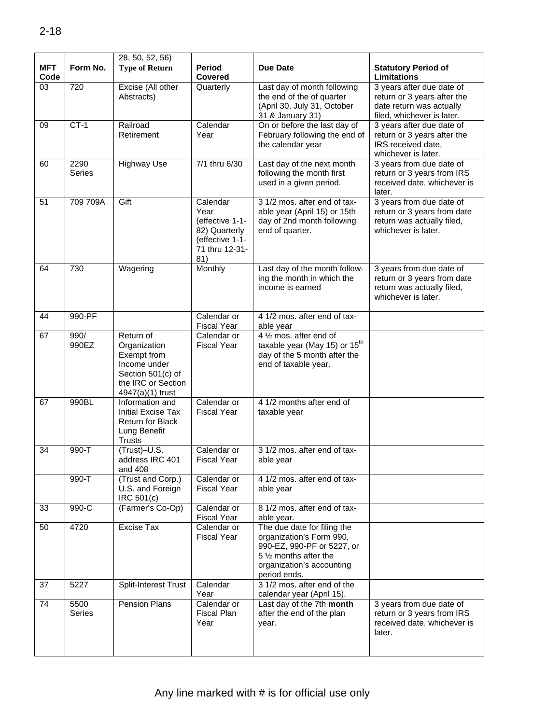|                    |                     | 28, 50, 52, 56                                                                                                          |                                                                                                  |                                                                                                                                                              |                                                                                                                    |
|--------------------|---------------------|-------------------------------------------------------------------------------------------------------------------------|--------------------------------------------------------------------------------------------------|--------------------------------------------------------------------------------------------------------------------------------------------------------------|--------------------------------------------------------------------------------------------------------------------|
| <b>MFT</b><br>Code | Form No.            | <b>Type of Return</b>                                                                                                   | <b>Period</b><br>Covered                                                                         | <b>Due Date</b>                                                                                                                                              | <b>Statutory Period of</b><br>Limitations                                                                          |
| 03                 | 720                 | Excise (All other<br>Abstracts)                                                                                         | Quarterly                                                                                        | Last day of month following<br>the end of the of quarter<br>(April 30, July 31, October<br>31 & January 31)                                                  | 3 years after due date of<br>return or 3 years after the<br>date return was actually<br>filed, whichever is later. |
| 09                 | $CT-1$              | Railroad<br>Retirement                                                                                                  | Calendar<br>Year                                                                                 | On or before the last day of<br>February following the end of<br>the calendar year                                                                           | 3 years after due date of<br>return or 3 years after the<br>IRS received date,<br>whichever is later.              |
| 60                 | 2290<br>Series      | <b>Highway Use</b>                                                                                                      | 7/1 thru 6/30                                                                                    | Last day of the next month<br>following the month first<br>used in a given period.                                                                           | 3 years from due date of<br>return or 3 years from IRS<br>received date, whichever is<br>later.                    |
| 51                 | 709 709A            | Gift                                                                                                                    | Calendar<br>Year<br>(effective 1-1-<br>82) Quarterly<br>(effective 1-1-<br>71 thru 12-31-<br>81) | 3 1/2 mos. after end of tax-<br>able year (April 15) or 15th<br>day of 2nd month following<br>end of quarter.                                                | 3 years from due date of<br>return or 3 years from date<br>return was actually filed,<br>whichever is later.       |
| 64                 | 730                 | Wagering                                                                                                                | Monthly                                                                                          | Last day of the month follow-<br>ing the month in which the<br>income is earned                                                                              | 3 years from due date of<br>return or 3 years from date<br>return was actually filed,<br>whichever is later.       |
| 44                 | 990-PF              |                                                                                                                         | Calendar or<br><b>Fiscal Year</b>                                                                | 4 1/2 mos. after end of tax-<br>able year                                                                                                                    |                                                                                                                    |
| 67                 | 990/<br>990EZ       | Return of<br>Organization<br>Exempt from<br>Income under<br>Section 501(c) of<br>the IRC or Section<br>4947(a)(1) trust | Calendar or<br><b>Fiscal Year</b>                                                                | 4 1/2 mos. after end of<br>taxable year (May 15) or 15 <sup>th</sup><br>day of the 5 month after the<br>end of taxable year.                                 |                                                                                                                    |
| 67                 | 990BL               | Information and<br>Initial Excise Tax<br><b>Return for Black</b><br>Lung Benefit<br><b>Trusts</b>                       | Calendar or<br><b>Fiscal Year</b>                                                                | 4 1/2 months after end of<br>taxable year                                                                                                                    |                                                                                                                    |
| 34                 | $\overline{990}$ -T | (Trust)-U.S.<br>address IRC 401<br>and 408                                                                              | Calendar or<br><b>Fiscal Year</b>                                                                | 3 1/2 mos. after end of tax-<br>able year                                                                                                                    |                                                                                                                    |
|                    | 990-T               | (Trust and Corp.)<br>U.S. and Foreign<br>IRC 501(c)                                                                     | Calendar or<br><b>Fiscal Year</b>                                                                | 4 1/2 mos. after end of tax-<br>able year                                                                                                                    |                                                                                                                    |
| 33                 | 990-C               | (Farmer's Co-Op)                                                                                                        | Calendar or<br><b>Fiscal Year</b>                                                                | 8 1/2 mos. after end of tax-<br>able year.                                                                                                                   |                                                                                                                    |
| 50                 | 4720                | Excise Tax                                                                                                              | Calendar or<br><b>Fiscal Year</b>                                                                | The due date for filing the<br>organization's Form 990,<br>990-EZ, 990-PF or 5227, or<br>5 1/2 months after the<br>organization's accounting<br>period ends. |                                                                                                                    |
| 37                 | 5227                | Split-Interest Trust                                                                                                    | Calendar<br>Year                                                                                 | 3 1/2 mos. after end of the<br>calendar year (April 15).                                                                                                     |                                                                                                                    |
| 74                 | 5500<br>Series      | Pension Plans                                                                                                           | Calendar or<br>Fiscal Plan<br>Year                                                               | Last day of the 7th month<br>after the end of the plan<br>year.                                                                                              | 3 years from due date of<br>return or 3 years from IRS<br>received date, whichever is<br>later.                    |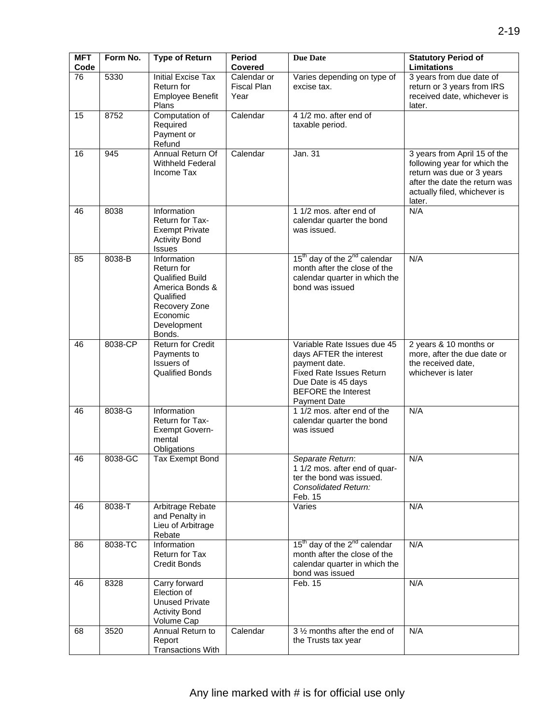| <b>MFT</b><br>Code | Form No. | <b>Type of Return</b>                                                                                                                     | <b>Period</b><br>Covered           | <b>Due Date</b>                                                                                                                                                                        | <b>Statutory Period of</b><br>Limitations                                                                                                                            |
|--------------------|----------|-------------------------------------------------------------------------------------------------------------------------------------------|------------------------------------|----------------------------------------------------------------------------------------------------------------------------------------------------------------------------------------|----------------------------------------------------------------------------------------------------------------------------------------------------------------------|
| $\overline{76}$    | 5330     | <b>Initial Excise Tax</b><br>Return for<br>Employee Benefit<br>Plans                                                                      | Calendar or<br>Fiscal Plan<br>Year | Varies depending on type of<br>excise tax.                                                                                                                                             | 3 years from due date of<br>return or 3 years from IRS<br>received date, whichever is<br>later.                                                                      |
| 15                 | 8752     | Computation of<br>Required<br>Payment or<br>Refund                                                                                        | Calendar                           | 4 1/2 mo. after end of<br>taxable period.                                                                                                                                              |                                                                                                                                                                      |
| 16                 | 945      | Annual Return Of<br><b>Withheld Federal</b><br>Income Tax                                                                                 | Calendar                           | Jan. 31                                                                                                                                                                                | 3 years from April 15 of the<br>following year for which the<br>return was due or 3 years<br>after the date the return was<br>actually filed, whichever is<br>later. |
| 46                 | 8038     | Information<br>Return for Tax-<br><b>Exempt Private</b><br><b>Activity Bond</b><br>Issues                                                 |                                    | 1 1/2 mos. after end of<br>calendar quarter the bond<br>was issued.                                                                                                                    | N/A                                                                                                                                                                  |
| 85                 | 8038-B   | Information<br>Return for<br><b>Qualified Build</b><br>America Bonds &<br>Qualified<br>Recovery Zone<br>Economic<br>Development<br>Bonds. |                                    | 15 <sup>th</sup> day of the 2 <sup>nd</sup> calendar<br>month after the close of the<br>calendar quarter in which the<br>bond was issued                                               | N/A                                                                                                                                                                  |
| 46                 | 8038-CP  | <b>Return for Credit</b><br>Payments to<br>Issuers of<br><b>Qualified Bonds</b>                                                           |                                    | Variable Rate Issues due 45<br>days AFTER the interest<br>payment date.<br><b>Fixed Rate Issues Return</b><br>Due Date is 45 days<br><b>BEFORE</b> the Interest<br><b>Payment Date</b> | 2 years & 10 months or<br>more, after the due date or<br>the received date,<br>whichever is later                                                                    |
| 46                 | 8038-G   | Information<br>Return for Tax-<br><b>Exempt Govern-</b><br>mental<br>Obligations                                                          |                                    | 1 1/2 mos. after end of the<br>calendar quarter the bond<br>was issued                                                                                                                 | N/A                                                                                                                                                                  |
| 46                 | 8038-GC  | <b>Tax Exempt Bond</b>                                                                                                                    |                                    | Separate Return:<br>1 1/2 mos. after end of quar-<br>ter the bond was issued.<br><b>Consolidated Return:</b><br>Feb. 15                                                                | N/A                                                                                                                                                                  |
| 46                 | 8038-T   | Arbitrage Rebate<br>and Penalty in<br>Lieu of Arbitrage<br>Rebate                                                                         |                                    | Varies                                                                                                                                                                                 | N/A                                                                                                                                                                  |
| 86                 | 8038-TC  | Information<br>Return for Tax<br>Credit Bonds                                                                                             |                                    | 15 <sup>th</sup> day of the 2 <sup>nd</sup> calendar<br>month after the close of the<br>calendar quarter in which the<br>bond was issued                                               | N/A                                                                                                                                                                  |
| 46                 | 8328     | Carry forward<br>Election of<br><b>Unused Private</b><br><b>Activity Bond</b><br>Volume Cap                                               |                                    | Feb. 15                                                                                                                                                                                | N/A                                                                                                                                                                  |
| 68                 | 3520     | Annual Return to<br>Report<br><b>Transactions With</b>                                                                                    | Calendar                           | 3 1/2 months after the end of<br>the Trusts tax year                                                                                                                                   | N/A                                                                                                                                                                  |